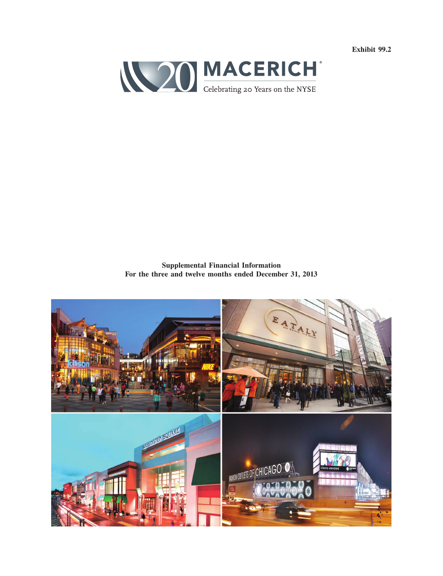**Exhibit 99.2**



**Supplemental Financial Information For the three and twelve months ended December 31, 2013**

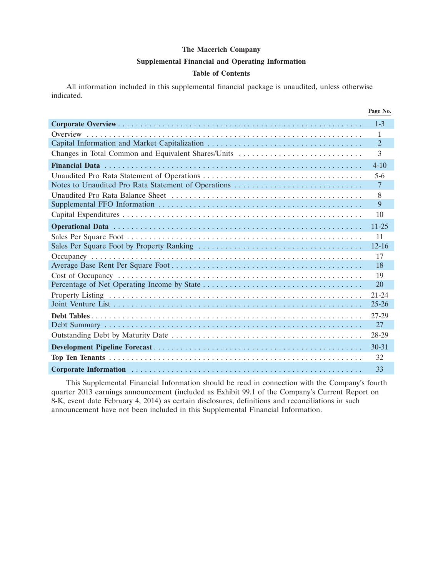#### **Supplemental Financial and Operating Information**

#### **Table of Contents**

All information included in this supplemental financial package is unaudited, unless otherwise indicated.

|                                                     | Page No.       |
|-----------------------------------------------------|----------------|
|                                                     | $1 - 3$        |
|                                                     | $\mathbf{1}$   |
|                                                     | $\overline{2}$ |
| Changes in Total Common and Equivalent Shares/Units | 3              |
|                                                     | $4 - 10$       |
|                                                     | $5-6$          |
| Notes to Unaudited Pro Rata Statement of Operations | $\overline{7}$ |
|                                                     | 8              |
|                                                     | 9              |
|                                                     | 10             |
|                                                     | $11 - 25$      |
|                                                     | 11             |
|                                                     | $12 - 16$      |
|                                                     | 17             |
|                                                     | 18             |
|                                                     | 19             |
|                                                     | 20             |
|                                                     | $21 - 24$      |
|                                                     | $25 - 26$      |
|                                                     | 27-29          |
|                                                     | 27             |
|                                                     | 28-29          |
|                                                     | $30 - 31$      |
|                                                     | 32             |
|                                                     | 33             |

This Supplemental Financial Information should be read in connection with the Company's fourth quarter 2013 earnings announcement (included as Exhibit 99.1 of the Company's Current Report on 8-K, event date February 4, 2014) as certain disclosures, definitions and reconciliations in such announcement have not been included in this Supplemental Financial Information.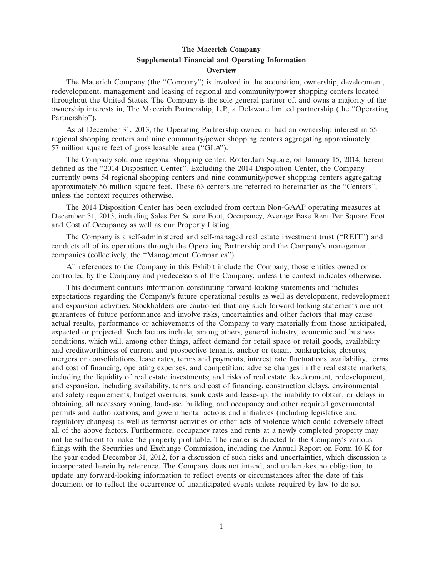#### **The Macerich Company Supplemental Financial and Operating Information Overview**

The Macerich Company (the ''Company'') is involved in the acquisition, ownership, development, redevelopment, management and leasing of regional and community/power shopping centers located throughout the United States. The Company is the sole general partner of, and owns a majority of the ownership interests in, The Macerich Partnership, L.P., a Delaware limited partnership (the ''Operating Partnership'').

As of December 31, 2013, the Operating Partnership owned or had an ownership interest in 55 regional shopping centers and nine community/power shopping centers aggregating approximately 57 million square feet of gross leasable area (''GLA'').

The Company sold one regional shopping center, Rotterdam Square, on January 15, 2014, herein defined as the ''2014 Disposition Center''. Excluding the 2014 Disposition Center, the Company currently owns 54 regional shopping centers and nine community/power shopping centers aggregating approximately 56 million square feet. These 63 centers are referred to hereinafter as the ''Centers'', unless the context requires otherwise.

The 2014 Disposition Center has been excluded from certain Non-GAAP operating measures at December 31, 2013, including Sales Per Square Foot, Occupancy, Average Base Rent Per Square Foot and Cost of Occupancy as well as our Property Listing.

The Company is a self-administered and self-managed real estate investment trust (''REIT'') and conducts all of its operations through the Operating Partnership and the Company's management companies (collectively, the ''Management Companies'').

All references to the Company in this Exhibit include the Company, those entities owned or controlled by the Company and predecessors of the Company, unless the context indicates otherwise.

This document contains information constituting forward-looking statements and includes expectations regarding the Company's future operational results as well as development, redevelopment and expansion activities. Stockholders are cautioned that any such forward-looking statements are not guarantees of future performance and involve risks, uncertainties and other factors that may cause actual results, performance or achievements of the Company to vary materially from those anticipated, expected or projected. Such factors include, among others, general industry, economic and business conditions, which will, among other things, affect demand for retail space or retail goods, availability and creditworthiness of current and prospective tenants, anchor or tenant bankruptcies, closures, mergers or consolidations, lease rates, terms and payments, interest rate fluctuations, availability, terms and cost of financing, operating expenses, and competition; adverse changes in the real estate markets, including the liquidity of real estate investments; and risks of real estate development, redevelopment, and expansion, including availability, terms and cost of financing, construction delays, environmental and safety requirements, budget overruns, sunk costs and lease-up; the inability to obtain, or delays in obtaining, all necessary zoning, land-use, building, and occupancy and other required governmental permits and authorizations; and governmental actions and initiatives (including legislative and regulatory changes) as well as terrorist activities or other acts of violence which could adversely affect all of the above factors. Furthermore, occupancy rates and rents at a newly completed property may not be sufficient to make the property profitable. The reader is directed to the Company's various filings with the Securities and Exchange Commission, including the Annual Report on Form 10-K for the year ended December 31, 2012, for a discussion of such risks and uncertainties, which discussion is incorporated herein by reference. The Company does not intend, and undertakes no obligation, to update any forward-looking information to reflect events or circumstances after the date of this document or to reflect the occurrence of unanticipated events unless required by law to do so.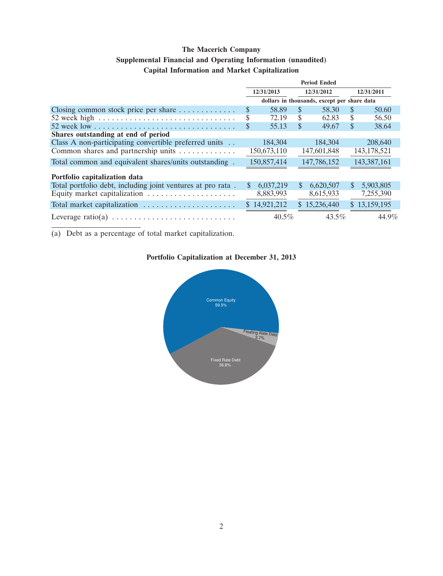### **Supplemental Financial and Operating Information (unaudited)**

### **Capital Information and Market Capitalization**

|                                                                                      |                 |               | <b>Period Ended</b>                         |               |               |
|--------------------------------------------------------------------------------------|-----------------|---------------|---------------------------------------------|---------------|---------------|
|                                                                                      | 12/31/2013      |               | 12/31/2012                                  |               | 12/31/2011    |
|                                                                                      |                 |               | dollars in thousands, except per share data |               |               |
| Closing common stock price per share $\dots \dots \dots$                             | \$<br>58.89     | S.            | 58.30                                       | <sup>\$</sup> | 50.60         |
| 52 week high $\ldots \ldots \ldots \ldots \ldots \ldots \ldots \ldots \ldots \ldots$ | \$<br>72.19     | S             | 62.83                                       | S             | 56.50         |
|                                                                                      | \$<br>55.13     | S             | 49.67                                       | \$            | 38.64         |
| Shares outstanding at end of period                                                  |                 |               |                                             |               |               |
| Class A non-participating convertible preferred units                                | 184,304         |               | 184.304                                     |               | 208,640       |
| Common shares and partnership units                                                  | 150,673,110     |               | 147,601,848                                 |               | 143, 178, 521 |
| Total common and equivalent shares/units outstanding.                                | 150,857,414     |               | 147,786,152                                 |               | 143,387,161   |
| Portfolio capitalization data                                                        |                 |               |                                             |               |               |
| Total portfolio debt, including joint ventures at pro rata.                          | \$<br>6,037,219 | <sup>\$</sup> | 6,620,507                                   | <sup>\$</sup> | 5,903,805     |
|                                                                                      | 8,883,993       |               | 8,615,933                                   |               | 7,255,390     |
| Total market capitalization                                                          | \$14,921,212    |               | \$15,236,440                                |               | \$13,159,195  |
|                                                                                      | $40.5\%$        |               | $43.5\%$                                    |               | 44.9%         |

(a) Debt as a percentage of total market capitalization.

## **Portfolio Capitalization at December 31, 2013**

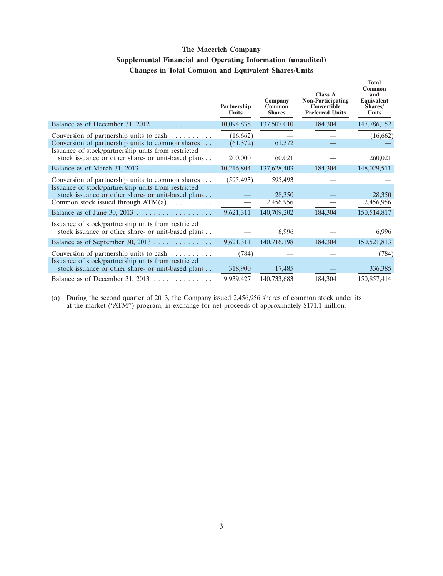### **The Macerich Company Supplemental Financial and Operating Information (unaudited) Changes in Total Common and Equivalent Shares/Units**

|                                                                                                                      | Partnership<br>Units  | Company<br>Common<br><b>Shares</b> | <b>Class A</b><br><b>Non-Participating</b><br><b>Convertible</b><br><b>Preferred Units</b> | <b>Total</b><br>Common<br>and<br>Equivalent<br>Shares/<br>Units |
|----------------------------------------------------------------------------------------------------------------------|-----------------------|------------------------------------|--------------------------------------------------------------------------------------------|-----------------------------------------------------------------|
| Balance as of December 31, $2012$                                                                                    | 10,094,838            | 137,507,010                        | 184,304                                                                                    | 147,786,152                                                     |
| Conversion of partnership units to cash<br>Conversion of partnership units to common shares                          | (16,662)<br>(61, 372) | 61,372                             |                                                                                            | (16,662)                                                        |
| Issuance of stock/partnership units from restricted<br>stock issuance or other share- or unit-based plans            | 200,000               | 60,021                             |                                                                                            | 260,021                                                         |
|                                                                                                                      | 10,216,804            | 137,628,403                        | 184,304                                                                                    | 148,029,511                                                     |
| Conversion of partnership units to common shares<br>$\cdot$ .<br>Issuance of stock/partnership units from restricted | (595, 493)            | 595,493                            |                                                                                            |                                                                 |
| stock issuance or other share- or unit-based plans<br>Common stock issued through $ATM(a)$                           |                       | 28,350<br>2,456,956                |                                                                                            | 28,350<br>2,456,956                                             |
|                                                                                                                      | 9,621,311             | 140,709,202                        | 184,304                                                                                    | 150,514,817                                                     |
| Issuance of stock/partnership units from restricted<br>stock issuance or other share- or unit-based plans            |                       | 6,996                              |                                                                                            | 6,996                                                           |
|                                                                                                                      | 9,621,311             | 140,716,198                        | 184,304                                                                                    | 150,521,813                                                     |
| Conversion of partnership units to cash<br>Issuance of stock/partnership units from restricted                       | (784)                 |                                    |                                                                                            | (784)                                                           |
| stock issuance or other share- or unit-based plans                                                                   | 318,900               | 17,485                             |                                                                                            | 336,385                                                         |
| Balance as of December 31, 2013 $\dots \dots \dots \dots$                                                            | 9,939,427             | 140,733,683                        | 184,304                                                                                    | 150,857,414                                                     |

(a) During the second quarter of 2013, the Company issued 2,456,956 shares of common stock under its at-the-market (''ATM'') program, in exchange for net proceeds of approximately \$171.1 million.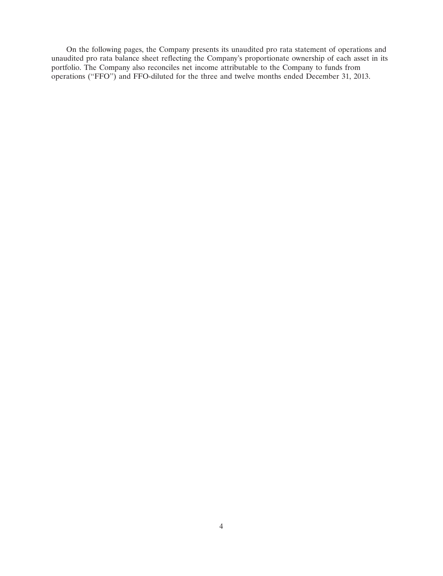On the following pages, the Company presents its unaudited pro rata statement of operations and unaudited pro rata balance sheet reflecting the Company's proportionate ownership of each asset in its portfolio. The Company also reconciles net income attributable to the Company to funds from operations (''FFO'') and FFO-diluted for the three and twelve months ended December 31, 2013.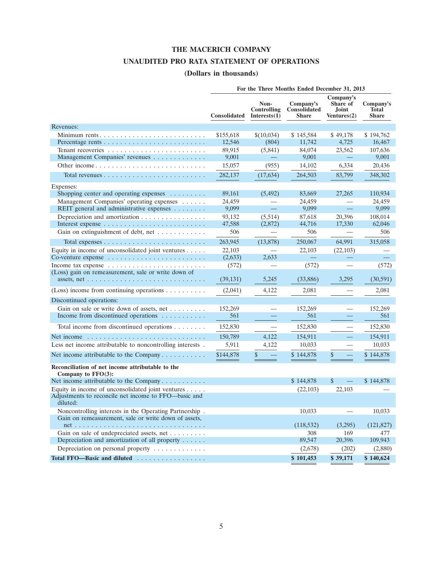### **THE MACERICH COMPANY**

### **UNAUDITED PRO RATA STATEMENT OF OPERATIONS**

### **(Dollars in thousands)**

|                                                                                                                                        |                     |                                     | For the Three Months Ended December 31, 2013     |                                               |                                           |
|----------------------------------------------------------------------------------------------------------------------------------------|---------------------|-------------------------------------|--------------------------------------------------|-----------------------------------------------|-------------------------------------------|
|                                                                                                                                        | Consolidated        | Non-<br>Controlling<br>Interests(1) | Company's<br><b>Consolidated</b><br><b>Share</b> | Company's<br>Share of<br>Joint<br>Ventures(2) | Company's<br><b>Total</b><br><b>Share</b> |
| Revenues:                                                                                                                              |                     |                                     |                                                  |                                               |                                           |
| Minimum rents                                                                                                                          | \$155,618<br>12,546 | \$(10,034)<br>(804)                 | \$145,584<br>11,742                              | \$49,178<br>4,725                             | \$194,762<br>16,467                       |
|                                                                                                                                        | 89,915              | (5,841)                             | 84,074                                           | 23,562                                        | 107,636                                   |
| Management Companies' revenues                                                                                                         | 9,001               |                                     | 9,001                                            |                                               | 9,001                                     |
|                                                                                                                                        | 15,057              | (955)                               | 14,102                                           | 6,334                                         | 20,436                                    |
|                                                                                                                                        | 282,137             | (17, 634)                           | 264,503                                          | 83,799                                        | 348,302                                   |
| Expenses:                                                                                                                              |                     |                                     |                                                  |                                               |                                           |
| Shopping center and operating expenses $\dots \dots$                                                                                   | 89.161              | (5, 492)                            | 83,669                                           | 27.265                                        | 110,934                                   |
| Management Companies' operating expenses                                                                                               | 24,459              | $\overline{\phantom{0}}$            | 24,459                                           | ÷,                                            | 24,459                                    |
| REIT general and administrative expenses $\dots \dots$                                                                                 | 9,099               |                                     | 9,099                                            |                                               | 9,099                                     |
| Depreciation and amortization                                                                                                          | 93,132              | (5,514)                             | 87,618                                           | 20,396                                        | 108,014                                   |
|                                                                                                                                        | 47,588              | (2,872)                             | 44,716                                           | 17,330                                        | 62,046                                    |
| Gain on extinguishment of debt, net                                                                                                    | 506                 |                                     | 506                                              |                                               | 506                                       |
|                                                                                                                                        | 263,945             | (13, 878)                           | 250,067                                          | 64,991                                        | 315,058                                   |
| Equity in income of unconsolidated joint ventures $\dots$ .                                                                            | 22,103              |                                     | 22,103                                           | (22, 103)                                     |                                           |
|                                                                                                                                        | (2,633)             | 2,633                               |                                                  |                                               |                                           |
| Income tax expense $\ldots \ldots \ldots \ldots \ldots \ldots \ldots \ldots$                                                           | (572)               |                                     | (572)                                            |                                               | (572)                                     |
| (Loss) gain on remeasurement, sale or write down of<br>assets, net $\dots \dots \dots \dots \dots \dots \dots \dots \dots \dots \dots$ | (39, 131)           | 5,245                               | (33,886)                                         | 3,295                                         | (30, 591)                                 |
| (Loss) income from continuing operations $\dots \dots \dots$                                                                           | (2,041)             | 4.122                               | 2,081                                            |                                               | 2,081                                     |
| Discontinued operations:                                                                                                               |                     |                                     |                                                  |                                               |                                           |
| Gain on sale or write down of assets, net                                                                                              | 152,269             |                                     | 152,269                                          |                                               | 152,269                                   |
| Income from discontinued operations                                                                                                    | 561                 |                                     | 561                                              |                                               | 561                                       |
| Total income from discontinued operations                                                                                              | 152,830             |                                     | 152,830                                          |                                               | 152,830                                   |
| Net income                                                                                                                             | 150,789             | 4,122                               | 154,911                                          |                                               | 154,911                                   |
| Less net income attributable to noncontrolling interests.                                                                              | 5,911               | 4,122                               | 10,033                                           |                                               | 10,033                                    |
| Net income attributable to the Company $\dots \dots \dots$                                                                             | \$144,878           | \$                                  | \$144,878                                        | \$                                            | \$144,878                                 |
| Reconciliation of net income attributable to the<br>Company to FFO(3):                                                                 |                     |                                     |                                                  |                                               |                                           |
| Net income attributable to the Company $\dots \dots \dots$                                                                             |                     |                                     | \$144,878                                        | \$<br><u>e a</u>                              | \$144,878                                 |
| Equity in income of unconsolidated joint ventures $\dots$ .                                                                            |                     |                                     | (22, 103)                                        | 22,103                                        |                                           |
| Adjustments to reconcile net income to FFO—basic and<br>diluted:                                                                       |                     |                                     |                                                  |                                               |                                           |
| Noncontrolling interests in the Operating Partnership.                                                                                 |                     |                                     | 10,033                                           |                                               | 10,033                                    |
| Gain on remeasurement, sale or write down of assets,                                                                                   |                     |                                     | (118, 532)                                       | (3,295)                                       | (121, 827)                                |
| Gain on sale of undepreciated assets, net                                                                                              |                     |                                     | 308                                              | 169                                           | 477                                       |
| Depreciation and amortization of all property $\dots$ .                                                                                |                     |                                     | 89,547                                           | 20,396                                        | 109,943                                   |
| Depreciation on personal property $\dots \dots \dots \dots$                                                                            |                     |                                     | (2,678)                                          | (202)                                         | (2,880)                                   |
| Total FFO-Basic and diluted                                                                                                            |                     |                                     | \$101,453                                        | \$39,171                                      | \$140,624                                 |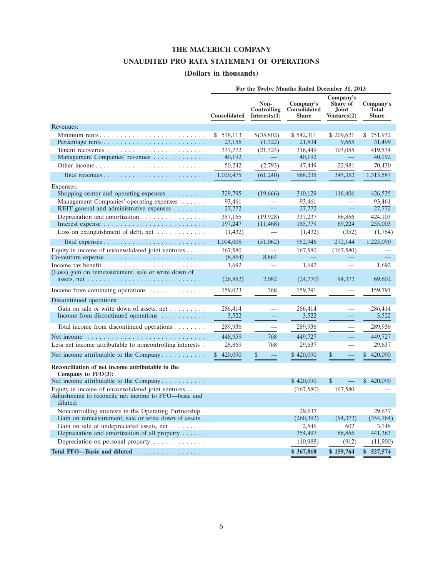### **THE MACERICH COMPANY**

### **UNAUDITED PRO RATA STATEMENT OF OPERATIONS**

### **(Dollars in thousands)**

|                                                                                                                                        |                     |                                               | For the Twelve Months Ended December 31, 2013 |                                                      |                                           |
|----------------------------------------------------------------------------------------------------------------------------------------|---------------------|-----------------------------------------------|-----------------------------------------------|------------------------------------------------------|-------------------------------------------|
|                                                                                                                                        | <b>Consolidated</b> | Non-<br><b>Controlling</b><br>Interests $(1)$ | Company's<br>Consolidated<br><b>Share</b>     | Company's<br>Share of<br><b>Joint</b><br>Ventures(2) | Company's<br><b>Total</b><br><b>Share</b> |
| Revenues:                                                                                                                              |                     |                                               |                                               |                                                      |                                           |
| Minimum rents                                                                                                                          | \$578,113<br>23,156 | \$(35,802)<br>(1,322)                         | \$542,311<br>21,834                           | \$209,621<br>9,665                                   | \$751,932<br>31,499                       |
|                                                                                                                                        | 337,772             | (21, 323)                                     | 316,449                                       | 103,085                                              | 419,534                                   |
| Management Companies' revenues                                                                                                         | 40,192              |                                               | 40,192                                        | $\equiv$                                             | 40,192                                    |
|                                                                                                                                        | 50,242              | (2,793)                                       | 47,449                                        | 22,981                                               | 70,430                                    |
|                                                                                                                                        | 1,029,475           | (61,240)                                      | 968,235                                       | 345,352                                              | 1,313,587                                 |
| Expenses:                                                                                                                              |                     |                                               |                                               |                                                      |                                           |
| Shopping center and operating expenses $\dots \dots$                                                                                   | 329,795             | (19,666)                                      | 310,129                                       | 116,406                                              | 426,535                                   |
| Management Companies' operating expenses                                                                                               | 93,461              |                                               | 93,461                                        |                                                      | 93,461                                    |
| REIT general and administrative expenses                                                                                               | 27,772              |                                               | 27,772                                        | $\equiv$                                             | 27,772                                    |
| Depreciation and amortization                                                                                                          | 357,165             | (19, 928)                                     | 337,237                                       | 86,866                                               | 424,103                                   |
|                                                                                                                                        | 197,247             | (11, 468)                                     | 185,779                                       | 69.224                                               | 255,003                                   |
| Loss on extinguishment of debt, net $\dots \dots \dots$                                                                                | (1, 432)            |                                               | (1, 432)                                      | (352)                                                | (1,784)                                   |
|                                                                                                                                        | 1,004,008           | (51,062)                                      | 952,946                                       | 272,144                                              | 1,225,090                                 |
| Equity in income of unconsolidated joint ventures $\ldots$ .                                                                           | 167,580             |                                               | 167,580                                       | (167,580)                                            |                                           |
| Co-venture expense $\dots \dots \dots \dots \dots \dots \dots \dots$                                                                   | (8,864)             | 8.864                                         |                                               |                                                      |                                           |
|                                                                                                                                        | 1,692               |                                               | 1,692                                         | $\overline{\phantom{0}}$                             | 1,692                                     |
| (Loss) gain on remeasurement, sale or write down of<br>assets, net $\dots \dots \dots \dots \dots \dots \dots \dots \dots \dots \dots$ | (26, 852)           | 2,082                                         | (24,770)                                      | 94,372                                               | 69,602                                    |
| Income from continuing operations $\dots \dots \dots \dots$                                                                            | 159,023             | 768                                           | 159,791                                       |                                                      | 159,791                                   |
| Discontinued operations:                                                                                                               |                     |                                               |                                               |                                                      |                                           |
| Gain on sale or write down of assets, net                                                                                              | 286,414             |                                               | 286,414                                       |                                                      | 286,414                                   |
| Income from discontinued operations $\dots \dots \dots$                                                                                | 3,522               |                                               | 3,522                                         |                                                      | 3.522                                     |
| Total income from discontinued operations                                                                                              | 289,936             |                                               | 289,936                                       | $\overline{\phantom{0}}$                             | 289,936                                   |
| Net income                                                                                                                             | 448,959             | 768                                           | 449,727                                       | $\equiv$                                             | 449,727                                   |
| Less net income attributable to noncontrolling interests.                                                                              | 28,869              | 768                                           | 29,637                                        |                                                      | 29,637                                    |
| Net income attributable to the Company $\dots \dots \dots$                                                                             | \$<br>420,090       | \$                                            | \$420,090                                     | \$                                                   | \$<br>420,090                             |
| Reconciliation of net income attributable to the<br>Company to $FFO(3)$ :                                                              |                     |                                               |                                               |                                                      |                                           |
| Net income attributable to the Company                                                                                                 |                     |                                               | \$420,090                                     | \$                                                   | \$420,090                                 |
| Equity in income of unconsolidated joint ventures $\ldots$ .<br>Adjustments to reconcile net income to FFO—basic and<br>diluted:       |                     |                                               | (167,580)                                     | 167,580                                              |                                           |
| Noncontrolling interests in the Operating Partnership.                                                                                 |                     |                                               | 29.637                                        |                                                      | 29.637                                    |
| Gain on remeasurement, sale or write down of assets.                                                                                   |                     |                                               | (260, 392)                                    | (94, 372)                                            | (354,764)                                 |
| Gain on sale of undepreciated assets, net                                                                                              |                     |                                               | 2,546                                         | 602                                                  | 3,148                                     |
| Depreciation and amortization of all property                                                                                          |                     |                                               | 354,497                                       | 86,866                                               | 441,363                                   |
| Depreciation on personal property $\dots \dots \dots \dots$                                                                            |                     |                                               | (10,988)                                      | (912)                                                | (11,900)                                  |
| Total FFO—Basic and diluted                                                                                                            |                     |                                               | \$367,810                                     | \$159,764                                            | \$527,574                                 |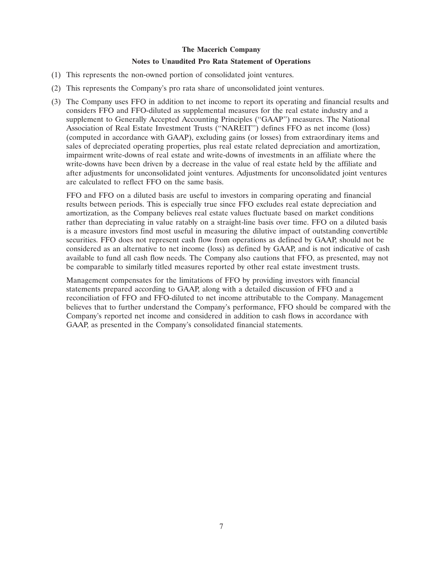#### **Notes to Unaudited Pro Rata Statement of Operations**

- (1) This represents the non-owned portion of consolidated joint ventures.
- (2) This represents the Company's pro rata share of unconsolidated joint ventures.
- (3) The Company uses FFO in addition to net income to report its operating and financial results and considers FFO and FFO-diluted as supplemental measures for the real estate industry and a supplement to Generally Accepted Accounting Principles (''GAAP'') measures. The National Association of Real Estate Investment Trusts (''NAREIT'') defines FFO as net income (loss) (computed in accordance with GAAP), excluding gains (or losses) from extraordinary items and sales of depreciated operating properties, plus real estate related depreciation and amortization, impairment write-downs of real estate and write-downs of investments in an affiliate where the write-downs have been driven by a decrease in the value of real estate held by the affiliate and after adjustments for unconsolidated joint ventures. Adjustments for unconsolidated joint ventures are calculated to reflect FFO on the same basis.

FFO and FFO on a diluted basis are useful to investors in comparing operating and financial results between periods. This is especially true since FFO excludes real estate depreciation and amortization, as the Company believes real estate values fluctuate based on market conditions rather than depreciating in value ratably on a straight-line basis over time. FFO on a diluted basis is a measure investors find most useful in measuring the dilutive impact of outstanding convertible securities. FFO does not represent cash flow from operations as defined by GAAP, should not be considered as an alternative to net income (loss) as defined by GAAP, and is not indicative of cash available to fund all cash flow needs. The Company also cautions that FFO, as presented, may not be comparable to similarly titled measures reported by other real estate investment trusts.

Management compensates for the limitations of FFO by providing investors with financial statements prepared according to GAAP, along with a detailed discussion of FFO and a reconciliation of FFO and FFO-diluted to net income attributable to the Company. Management believes that to further understand the Company's performance, FFO should be compared with the Company's reported net income and considered in addition to cash flows in accordance with GAAP, as presented in the Company's consolidated financial statements.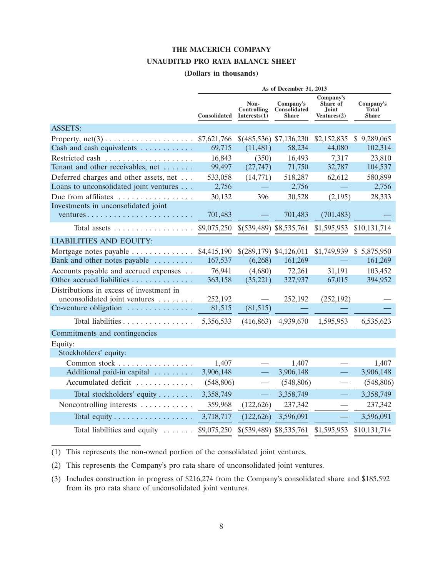#### **THE MACERICH COMPANY**

#### **UNAUDITED PRO RATA BALANCE SHEET**

#### **(Dollars in thousands)**

|                                                              |                     |                                     | As of December 31, 2013                   |                                                      |                                           |
|--------------------------------------------------------------|---------------------|-------------------------------------|-------------------------------------------|------------------------------------------------------|-------------------------------------------|
|                                                              | <b>Consolidated</b> | Non-<br>Controlling<br>Interests(1) | Company's<br>Consolidated<br><b>Share</b> | Company's<br>Share of<br><b>Joint</b><br>Ventures(2) | Company's<br><b>Total</b><br><b>Share</b> |
| <b>ASSETS:</b>                                               |                     |                                     |                                           |                                                      |                                           |
| Property, $net(3) \ldots \ldots \ldots \ldots \ldots \ldots$ | \$7,621,766         |                                     | \$(485,536) \$7,136,230                   | \$2,152,835                                          | \$9,289,065                               |
| Cash and cash equivalents                                    | 69,715              | (11,481)                            | 58,234                                    | 44,080                                               | 102,314                                   |
| Restricted cash                                              | 16,843              | (350)                               | 16,493                                    | 7,317                                                | 23,810                                    |
| Tenant and other receivables, net                            | 99,497              | (27, 747)                           | 71,750                                    | 32,787                                               | 104,537                                   |
| Deferred charges and other assets, net                       | 533,058             | (14, 771)                           | 518,287                                   | 62,612                                               | 580,899                                   |
| Loans to unconsolidated joint ventures                       | 2,756               |                                     | 2,756                                     |                                                      | 2,756                                     |
| Due from affiliates                                          | 30,132              | 396                                 | 30,528                                    | (2,195)                                              | 28,333                                    |
| Investments in unconsolidated joint                          |                     |                                     |                                           |                                                      |                                           |
| ventures                                                     | 701,483             |                                     | 701,483                                   | (701, 483)                                           |                                           |
| Total assets $\dots \dots \dots \dots \dots \dots$           | \$9,075,250         | \$(539,489) \$8,535,761             |                                           | \$1,595,953                                          | \$10,131,714                              |
| <b>LIABILITIES AND EOUITY:</b>                               |                     |                                     |                                           |                                                      |                                           |
| Mortgage notes payable                                       | \$4,415,190         | \$(289,179) \$4,126,011             |                                           | \$1,749,939                                          | \$5,875,950                               |
| Bank and other notes payable                                 | 167,537             | (6,268)                             | 161,269                                   |                                                      | 161,269                                   |
| Accounts payable and accrued expenses                        | 76,941              | (4,680)                             | 72,261                                    | 31,191                                               | 103,452                                   |
| Other accrued liabilities                                    | 363,158             | (35, 221)                           | 327,937                                   | 67,015                                               | 394,952                                   |
| Distributions in excess of investment in                     |                     |                                     |                                           |                                                      |                                           |
| unconsolidated joint ventures                                | 252,192             |                                     | 252,192                                   | (252, 192)                                           |                                           |
| Co-venture obligation                                        | 81,515              | (81,515)                            |                                           |                                                      |                                           |
| Total liabilities                                            | 5,356,533           | (416, 863)                          | 4,939,670                                 | 1,595,953                                            | 6,535,623                                 |
| Commitments and contingencies                                |                     |                                     |                                           |                                                      |                                           |
| Equity:                                                      |                     |                                     |                                           |                                                      |                                           |
| Stockholders' equity:                                        |                     |                                     |                                           |                                                      |                                           |
| Common stock                                                 | 1,407               |                                     | 1,407                                     |                                                      | 1,407                                     |
| Additional paid-in capital                                   | 3,906,148           |                                     | 3,906,148                                 |                                                      | 3,906,148                                 |
| Accumulated deficit                                          | (548, 806)          |                                     | (548, 806)                                |                                                      | (548, 806)                                |
| Total stockholders' equity                                   | 3,358,749           |                                     | 3,358,749                                 | $\overline{\phantom{0}}$                             | 3,358,749                                 |
| Noncontrolling interests                                     | 359,968             | (122, 626)                          | 237,342                                   |                                                      | 237,342                                   |
|                                                              | 3,718,717           | (122, 626)                          | 3,596,091                                 |                                                      | 3,596,091                                 |
| Total liabilities and equity                                 | \$9,075,250         |                                     | $$(539,489)$ \$8,535,761                  | \$1,595,953                                          | \$10,131,714                              |

(1) This represents the non-owned portion of the consolidated joint ventures.

(2) This represents the Company's pro rata share of unconsolidated joint ventures.

(3) Includes construction in progress of \$216,274 from the Company's consolidated share and \$185,592 from its pro rata share of unconsolidated joint ventures.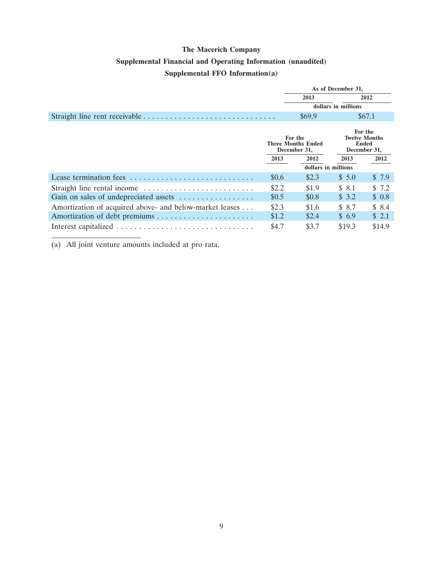# **The Macerich Company Supplemental Financial and Operating Information (unaudited) Supplemental FFO Information(a)**

|                                                         |       | As of December 31,                                   |                     |                                                                 |
|---------------------------------------------------------|-------|------------------------------------------------------|---------------------|-----------------------------------------------------------------|
|                                                         |       | 2013                                                 |                     | 2012                                                            |
|                                                         |       |                                                      | dollars in millions |                                                                 |
|                                                         |       | \$69.9                                               |                     | \$67.1                                                          |
|                                                         |       | For the<br><b>Three Months Ended</b><br>December 31, |                     | For the<br><b>Twelve Months</b><br><b>Ended</b><br>December 31, |
|                                                         | 2013  | 2012                                                 | 2013                | 2012                                                            |
|                                                         |       | dollars in millions                                  |                     |                                                                 |
|                                                         | \$0.6 | \$2.3                                                | \$5.0               | \$7.9                                                           |
|                                                         | \$2.2 | \$1.9                                                | \$ 8.1              | \$7.2                                                           |
| Gain on sales of undepreciated assets                   | \$0.5 | \$0.8                                                | \$3.2               | \$0.8                                                           |
| Amortization of acquired above- and below-market leases | \$2.3 | \$1.6                                                | \$8.7               | \$8.4                                                           |
|                                                         | \$1.2 | \$2.4                                                | \$6.9               | \$2.1                                                           |
|                                                         | \$4.7 | \$3.7                                                | \$19.3              | \$14.9                                                          |

(a) All joint venture amounts included at pro rata.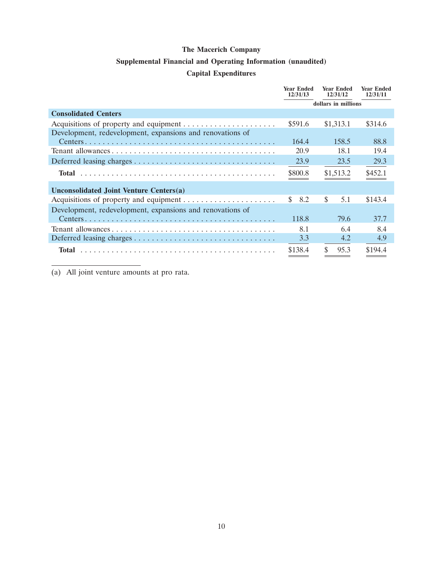### **Supplemental Financial and Operating Information (unaudited)**

### **Capital Expenditures**

|                                                           | <b>Year Ended</b><br>12/31/13 | <b>Year Ended</b><br>12/31/12 | <b>Year Ended</b><br>12/31/11 |
|-----------------------------------------------------------|-------------------------------|-------------------------------|-------------------------------|
|                                                           |                               | dollars in millions           |                               |
| <b>Consolidated Centers</b>                               |                               |                               |                               |
|                                                           | \$591.6                       | \$1,313.1                     | \$314.6                       |
| Development, redevelopment, expansions and renovations of |                               |                               |                               |
|                                                           | 164.4                         | 158.5                         | 88.8                          |
|                                                           | 20.9                          | 18.1                          | 19.4                          |
|                                                           | 23.9                          | 23.5                          | 29.3                          |
| Total                                                     | \$800.8                       | \$1,513.2                     | \$452.1                       |
| Unconsolidated Joint Venture Centers(a)                   |                               |                               |                               |
|                                                           | \$.<br>8.2                    | \$<br>5.1                     | \$143.4                       |
| Development, redevelopment, expansions and renovations of |                               |                               |                               |
|                                                           | 118.8                         | 79.6                          | 37.7                          |
|                                                           | 8.1                           | 6.4                           | 8.4                           |
|                                                           | 3.3                           | 4.2                           | 4.9                           |
| Total                                                     | \$138.4                       | 95.3                          | \$194.4                       |

(a) All joint venture amounts at pro rata.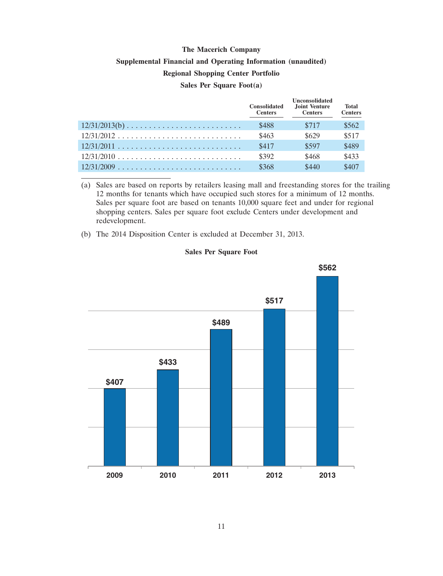# **The Macerich Company Supplemental Financial and Operating Information (unaudited) Regional Shopping Center Portfolio Sales Per Square Foot(a)**

|                                                                      | <b>Consolidated</b><br><b>Centers</b> | <b>Unconsolidated</b><br>Joint Venture<br><b>Centers</b> | <b>Total</b><br><b>Centers</b> |
|----------------------------------------------------------------------|---------------------------------------|----------------------------------------------------------|--------------------------------|
|                                                                      | \$488                                 | \$717                                                    | \$562                          |
|                                                                      | \$463                                 | \$629                                                    | \$517                          |
|                                                                      | \$417                                 | \$597                                                    | \$489                          |
| $12/31/2010 \ldots \ldots \ldots \ldots \ldots \ldots \ldots \ldots$ | \$392                                 | \$468                                                    | \$433                          |
|                                                                      | \$368                                 | \$440                                                    | \$407                          |

(a) Sales are based on reports by retailers leasing mall and freestanding stores for the trailing 12 months for tenants which have occupied such stores for a minimum of 12 months. Sales per square foot are based on tenants 10,000 square feet and under for regional shopping centers. Sales per square foot exclude Centers under development and redevelopment.

(b) The 2014 Disposition Center is excluded at December 31, 2013.

#### **Sales Per Square Foot**

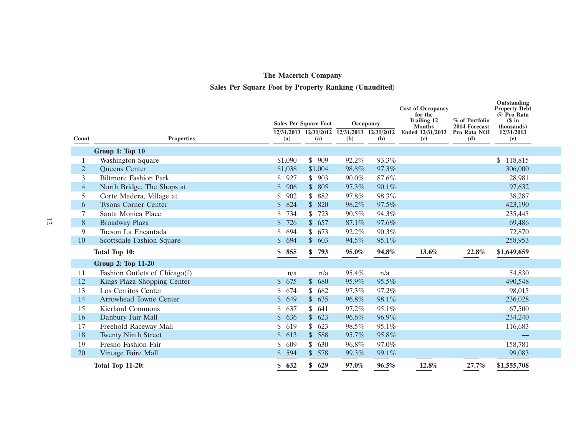# **Sales Per Square Foot by Property Ranking (Unaudited)**

|                |                               |                                  | <b>Sales Per Square Foot</b> | Occupancy                                          |       | <b>Cost of Occupancy</b><br>for the<br><b>Trailing 12</b><br><b>Months</b> | % of Portfolio<br>2014 Forecast | Outstanding<br><b>Property Debt</b><br>@ Pro Rata<br>$$$ in |  |
|----------------|-------------------------------|----------------------------------|------------------------------|----------------------------------------------------|-------|----------------------------------------------------------------------------|---------------------------------|-------------------------------------------------------------|--|
| Count          | <b>Properties</b>             | (a)                              | (a)                          | 12/31/2013 12/31/2012 12/31/2013 12/31/2012<br>(b) | (b)   | Ended 12/31/2013<br>(c)                                                    | Pro Rata NOI<br>(d)             | thousands)<br>12/31/2013<br>(e)                             |  |
|                |                               |                                  |                              |                                                    |       |                                                                            |                                 |                                                             |  |
|                | Group 1: Top 10               |                                  |                              |                                                    |       |                                                                            |                                 |                                                             |  |
|                | <b>Washington Square</b>      | \$1,090                          | 909<br>\$                    | 92.2%                                              | 93.3% |                                                                            |                                 | \$118,815                                                   |  |
| $\overline{2}$ | <b>Oueens Center</b>          | \$1,038                          | \$1,004                      | 98.8%                                              | 97.3% |                                                                            |                                 | 306,000                                                     |  |
| 3              | <b>Biltmore Fashion Park</b>  | 927<br>\$.                       | \$903                        | 90.0%                                              | 87.6% |                                                                            |                                 | 28,981                                                      |  |
| $\overline{4}$ | North Bridge, The Shops at    | $\boldsymbol{\mathsf{S}}$<br>906 | 805<br>$\mathbb{S}$          | 97.3%                                              | 90.1% |                                                                            |                                 | 97,632                                                      |  |
| 5              | Corte Madera, Village at      | 902<br>\$                        | 882<br>\$                    | 97.8%                                              | 98.3% |                                                                            |                                 | 38,287                                                      |  |
| 6              | <b>Tysons Corner Center</b>   | \$<br>824                        | 820<br>$\mathbb{S}$          | 98.2%                                              | 97.5% |                                                                            |                                 | 423,190                                                     |  |
| 7              | Santa Monica Place            | 734<br>S                         | \$<br>723                    | 90.5%                                              | 94.3% |                                                                            |                                 | 235,445                                                     |  |
| $\, 8$         | Broadway Plaza                | \$<br>726                        | $\mathbb{S}$<br>657          | 87.1%                                              | 97.6% |                                                                            |                                 | 69,486                                                      |  |
| 9              | Tucson La Encantada           | \$<br>694                        | \$<br>673                    | 92.2%                                              | 90.3% |                                                                            |                                 | 72,870                                                      |  |
| 10             | Scottsdale Fashion Square     | 694<br>$\mathcal{S}$             | 603<br>$\mathbb{S}$          | 94.5%                                              | 95.1% |                                                                            |                                 | 258,953                                                     |  |
|                | Total Top 10:                 | 855<br>\$                        | 793<br>\$                    | 95.0%                                              | 94.8% | 13.6%                                                                      | 22.8%                           | \$1,649,659                                                 |  |
|                | Group 2: Top 11-20            |                                  |                              |                                                    |       |                                                                            |                                 |                                                             |  |
| 11             | Fashion Outlets of Chicago(f) | n/a                              | n/a                          | 95.4%                                              | n/a   |                                                                            |                                 | 54,830                                                      |  |
| 12             | Kings Plaza Shopping Center   | 675<br>$\mathbb{S}$              | $\mathbb{S}$<br>680          | 95.9%                                              | 95.5% |                                                                            |                                 | 490,548                                                     |  |
| 13             | Los Cerritos Center           | 674<br>\$                        | 682<br>\$                    | 97.3%                                              | 97.2% |                                                                            |                                 | 98,015                                                      |  |
| 14             | <b>Arrowhead Towne Center</b> | \$<br>649                        | $\mathbb{S}$<br>635          | 96.8%                                              | 98.1% |                                                                            |                                 | 236,028                                                     |  |
| 15             | <b>Kierland Commons</b>       | 637<br>\$                        | 641<br>\$                    | 97.2%                                              | 95.1% |                                                                            |                                 | 67,500                                                      |  |
| 16             | Danbury Fair Mall             | $\mathcal{S}$<br>636             | $\mathbb{S}^-$<br>623        | 96.6%                                              | 96.9% |                                                                            |                                 | 234,240                                                     |  |
| 17             | Freehold Raceway Mall         | \$<br>619                        | 623<br>\$                    | 98.5%                                              | 95.1% |                                                                            |                                 | 116,683                                                     |  |
| 18             | <b>Twenty Ninth Street</b>    | $\mathcal{S}$<br>613             | 588<br>$\mathbb{S}^-$        | 95.7%                                              | 95.8% |                                                                            |                                 |                                                             |  |
| 19             | Fresno Fashion Fair           | 609<br>\$                        | 630<br>\$                    | 96.8%                                              | 97.0% |                                                                            |                                 | 158,781                                                     |  |
| <b>20</b>      | Vintage Faire Mall            | 594<br>$\mathbb{S}$              | \$578                        | 99.3%                                              | 99.1% |                                                                            |                                 | 99,083                                                      |  |
|                | <b>Total Top 11-20:</b>       | 632<br>\$                        | \$<br>629                    | 97.0%                                              | 96.5% | 12.8%                                                                      | 27.7%                           | \$1,555,708                                                 |  |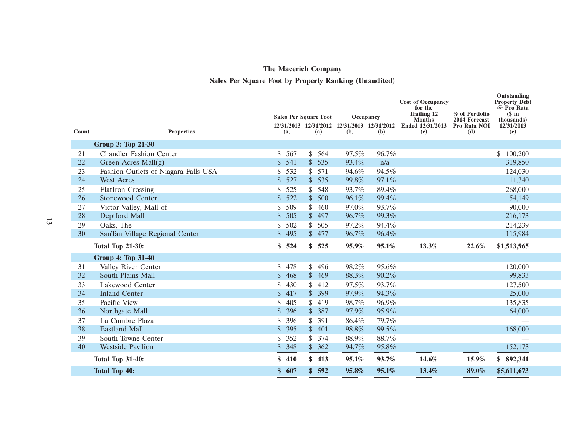### **Sales Per Square Foot by Property Ranking (Unaudited)**

|       |                                      | <b>Sales Per Square Foot</b> |                       | Occupancy                                          |       | <b>Cost of Occupancy</b><br>for the<br><b>Trailing 12</b><br><b>Months</b> | % of Portfolio<br>2014 Forecast | Outstanding<br><b>Property Debt</b><br>@ Pro Rata<br>$$$ in<br>thousands) |  |
|-------|--------------------------------------|------------------------------|-----------------------|----------------------------------------------------|-------|----------------------------------------------------------------------------|---------------------------------|---------------------------------------------------------------------------|--|
| Count | <b>Properties</b>                    | (a)                          | (a)                   | 12/31/2013 12/31/2012 12/31/2013 12/31/2012<br>(b) | (b)   | Ended 12/31/2013<br>(c)                                                    | Pro Rata NOI<br>(d)             | 12/31/2013<br>(e)                                                         |  |
|       | Group 3: Top 21-30                   |                              |                       |                                                    |       |                                                                            |                                 |                                                                           |  |
| 21    | <b>Chandler Fashion Center</b>       | \$<br>567                    | \$564                 | 97.5%                                              | 96.7% |                                                                            |                                 | 100,200<br>\$                                                             |  |
| 22    | Green Acres Mall(g)                  | \$<br>541                    | \$535                 | 93.4%                                              | n/a   |                                                                            |                                 | 319,850                                                                   |  |
| 23    | Fashion Outlets of Niagara Falls USA | \$<br>532                    | \$571                 | 94.6%                                              | 94.5% |                                                                            |                                 | 124,030                                                                   |  |
| 24    | <b>West Acres</b>                    | $\mathcal{S}$<br>527         | \$535                 | 99.8%                                              | 97.1% |                                                                            |                                 | 11,340                                                                    |  |
| 25    | <b>FlatIron Crossing</b>             | \$<br>525                    | 548<br>\$             | 93.7%                                              | 89.4% |                                                                            |                                 | 268,000                                                                   |  |
| 26    | <b>Stonewood Center</b>              | $\mathsf{\$}$<br>522         | $\frac{1}{2}$<br>500  | 96.1%                                              | 99.4% |                                                                            |                                 | 54,149                                                                    |  |
| 27    | Victor Valley, Mall of               | \$<br>509                    | \$<br>460             | 97.0%                                              | 93.7% |                                                                            |                                 | 90,000                                                                    |  |
| 28    | Deptford Mall                        | \$<br>505                    | \$497                 | 96.7%                                              | 99.3% |                                                                            |                                 | 216,173                                                                   |  |
| 29    | Oaks, The                            | \$<br>502                    | \$<br>505             | 97.2%                                              | 94.4% |                                                                            |                                 | 214,239                                                                   |  |
| 30    | SanTan Village Regional Center       | 495<br>\$                    | 477<br>$\mathbb{S}^-$ | 96.7%                                              | 96.4% |                                                                            |                                 | 115,984                                                                   |  |
|       | <b>Total Top 21-30:</b>              | \$<br>524                    | \$<br>525             | 95.9%                                              | 95.1% | 13.3%                                                                      | 22.6%                           | \$1,513,965                                                               |  |
|       | <b>Group 4: Top 31-40</b>            |                              |                       |                                                    |       |                                                                            |                                 |                                                                           |  |
| 31    | Valley River Center                  | 478<br>\$                    | 496<br>\$             | 98.2%                                              | 95.6% |                                                                            |                                 | 120,000                                                                   |  |
| 32    | South Plains Mall                    | 468<br>\$                    | $\mathcal{S}$<br>469  | 88.3%                                              | 90.2% |                                                                            |                                 | 99,833                                                                    |  |
| 33    | Lakewood Center                      | 430<br>\$                    | \$<br>412             | 97.5%                                              | 93.7% |                                                                            |                                 | 127,500                                                                   |  |
| 34    | <b>Inland Center</b>                 | \$<br>417                    | $\mathbb{S}$<br>399   | 97.9%                                              | 94.3% |                                                                            |                                 | 25,000                                                                    |  |
| 35    | Pacific View                         | \$<br>405                    | \$<br>419             | 98.7%                                              | 96.9% |                                                                            |                                 | 135,835                                                                   |  |
| 36    | Northgate Mall                       | \$<br>396                    | \$387                 | 97.9%                                              | 95.9% |                                                                            |                                 | 64,000                                                                    |  |
| 37    | La Cumbre Plaza                      | \$<br>396                    | 391<br>\$             | 86.4%                                              | 79.7% |                                                                            |                                 |                                                                           |  |
| 38    | <b>Eastland Mall</b>                 | \$<br>395                    | 401<br>$\mathbb{S}^-$ | 98.8%                                              | 99.5% |                                                                            |                                 | 168,000                                                                   |  |
| 39    | South Towne Center                   | \$<br>352                    | 374<br>\$             | 88.9%                                              | 88.7% |                                                                            |                                 |                                                                           |  |
| 40    | <b>Westside Pavilion</b>             | 348<br>\$                    | \$362                 | 94.7%                                              | 95.8% |                                                                            |                                 | 152,173                                                                   |  |
|       | <b>Total Top 31-40:</b>              | 410<br>\$                    | 413<br>\$             | 95.1%                                              | 93.7% | 14.6%                                                                      | 15.9%                           | \$<br>892,341                                                             |  |
|       | <b>Total Top 40:</b>                 | 607<br>\$                    | \$<br>592             | 95.8%                                              | 95.1% | 13.4%                                                                      | 89.0%                           | \$5,611,673                                                               |  |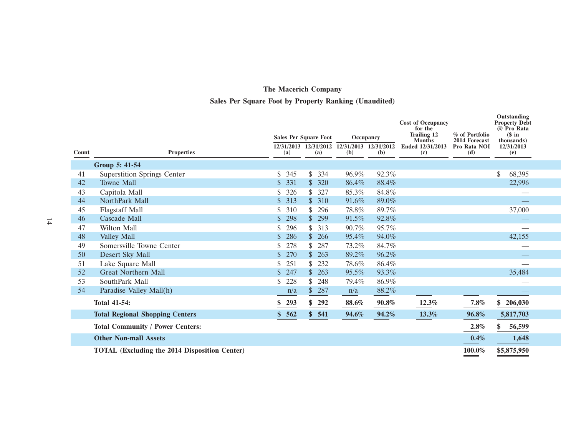### **Sales Per Square Foot by Property Ranking (Unaudited)**

|       |                                                      |           | <b>Sales Per Square Foot</b>                       |       | Occupancy | <b>Cost of Occupancy</b><br>for the<br><b>Trailing 12</b> | % of Portfolio                       | Outstanding<br><b>Property Debt</b><br>@ Pro Rata<br>$(S \in \mathbf{in})$ |
|-------|------------------------------------------------------|-----------|----------------------------------------------------|-------|-----------|-----------------------------------------------------------|--------------------------------------|----------------------------------------------------------------------------|
| Count | <b>Properties</b>                                    | (a)       | 12/31/2013 12/31/2012 12/31/2013 12/31/2012<br>(a) | (b)   | (b)       | <b>Months</b><br>Ended 12/31/2013<br>(c)                  | 2014 Forecast<br>Pro Rata NOI<br>(d) | thousands)<br>12/31/2013<br>(e)                                            |
|       | Group 5: 41-54                                       |           |                                                    |       |           |                                                           |                                      |                                                                            |
| 41    | <b>Superstition Springs Center</b>                   | 345       | $\mathcal{S}$<br>334                               | 96.9% | 92.3%     |                                                           |                                      | \$<br>68,395                                                               |
| 42    | <b>Towne Mall</b>                                    | 331<br>\$ | \$320                                              | 86.4% | 88.4%     |                                                           |                                      | 22,996                                                                     |
| 43    | Capitola Mall                                        | 326       | 327<br>\$                                          | 85.3% | 84.8%     |                                                           |                                      |                                                                            |
| 44    | NorthPark Mall                                       | 313       | \$310                                              | 91.6% | 89.0%     |                                                           |                                      |                                                                            |
| 45    | <b>Flagstaff Mall</b>                                | 310       | 296<br>\$.                                         | 78.8% | 89.7%     |                                                           |                                      | 37,000                                                                     |
| 46    | Cascade Mall                                         | 298       | 299<br>$\mathcal{S}$                               | 91.5% | 92.8%     |                                                           |                                      |                                                                            |
| 47    | Wilton Mall                                          | 296       | 313<br>S.                                          | 90.7% | 95.7%     |                                                           |                                      |                                                                            |
| 48    | Valley Mall                                          | 286       | 266<br>$\mathbb{S}$                                | 95.4% | 94.0%     |                                                           |                                      | 42,155                                                                     |
| 49    | Somersville Towne Center                             | 278       | 287                                                | 73.2% | 84.7%     |                                                           |                                      |                                                                            |
| 50    | Desert Sky Mall                                      | 270       | 263<br>$\mathbb{S}$                                | 89.2% | 96.2%     |                                                           |                                      |                                                                            |
| 51    | Lake Square Mall                                     | 251       | 232<br>\$                                          | 78.6% | 86.4%     |                                                           |                                      |                                                                            |
| 52    | <b>Great Northern Mall</b>                           | 247       | \$263                                              | 95.5% | 93.3%     |                                                           |                                      | 35,484                                                                     |
| 53    | SouthPark Mall                                       | 228       | 248<br>\$                                          | 79.4% | 86.9%     |                                                           |                                      |                                                                            |
| 54    | Paradise Valley Mall(h)                              | n/a       | 287<br>\$                                          | n/a   | 88.2%     |                                                           |                                      |                                                                            |
|       | <b>Total 41-54:</b>                                  | 293       | \$ 292                                             | 88.6% | 90.8%     | 12.3%                                                     | $7.8\%$                              | \$<br>206,030                                                              |
|       | <b>Total Regional Shopping Centers</b>               | \$562     | \$541                                              | 94.6% | 94.2%     | 13.3%                                                     | 96.8%                                | 5,817,703                                                                  |
|       | <b>Total Community / Power Centers:</b>              |           |                                                    |       |           |                                                           | $2.8\%$                              | \$<br>56,599                                                               |
|       | <b>Other Non-mall Assets</b>                         |           |                                                    |       |           |                                                           | 0.4%                                 | 1,648                                                                      |
|       | <b>TOTAL (Excluding the 2014 Disposition Center)</b> |           |                                                    |       |           |                                                           | 100.0%                               | \$5,875,950                                                                |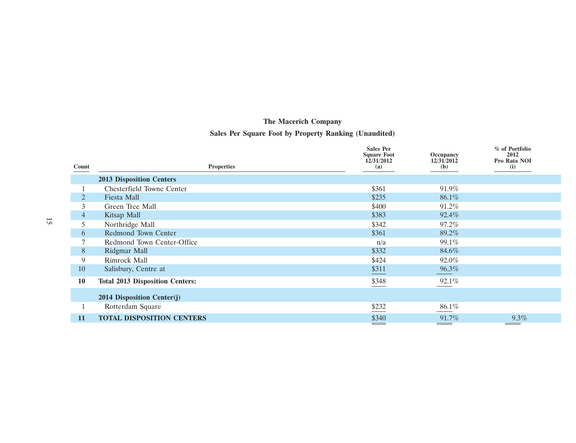### **Sales Per Square Foot by Property Ranking (Unaudited)**

|                |                                        | <b>Sales Per</b><br><b>Square Foot</b> | Occupancy         | % of Portfolio<br>2012 |
|----------------|----------------------------------------|----------------------------------------|-------------------|------------------------|
| Count          | <b>Properties</b>                      | 12/31/2012<br>(a)                      | 12/31/2012<br>(b) | Pro Rata NOI<br>(i)    |
|                | <b>2013 Disposition Centers</b>        |                                        |                   |                        |
|                | Chesterfield Towne Center              | \$361                                  | 91.9%             |                        |
|                | Fiesta Mall                            | \$235                                  | 86.1%             |                        |
| 3              | Green Tree Mall                        | \$400                                  | 91.2%             |                        |
| $\overline{4}$ | Kitsap Mall                            | \$383                                  | 92.4%             |                        |
| 5.             | Northridge Mall                        | \$342                                  | 97.2%             |                        |
| 6              | Redmond Town Center                    | \$361                                  | 89.2%             |                        |
|                | Redmond Town Center-Office             | n/a                                    | 99.1%             |                        |
| 8              | Ridgmar Mall                           | \$332                                  | 84.6%             |                        |
| 9              | Rimrock Mall                           | \$424                                  | 92.0%             |                        |
| 10             | Salisbury, Centre at                   | \$311                                  | 96.3%             |                        |
| 10             | <b>Total 2013 Disposition Centers:</b> | \$348                                  | 92.1%             |                        |
|                | 2014 Disposition Center(j)             |                                        |                   |                        |
|                | Rotterdam Square                       | \$232                                  | 86.1%             |                        |
| 11             | <b>TOTAL DISPOSITION CENTERS</b>       | \$340                                  | 91.7%             | $9.3\%$                |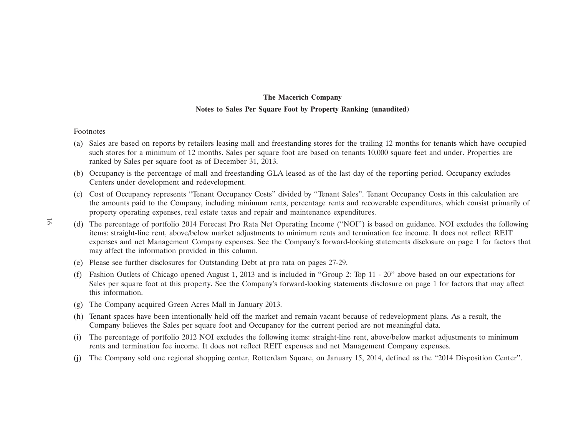### **The Macerich Company Notes to Sales Per Square Foot by Property Ranking (unaudited)**

#### Footnotes

- (a) Sales are based on reports by retailers leasing mall and freestanding stores for the trailing 12 months for tenants which have occupied such stores for a minimum of 12 months. Sales per square foot are based on tenants 10,000 square feet and under. Properties are ranked by Sales per square foot as of December 31, 2013.
- (b) Occupancy is the percentage of mall and freestanding GLA leased as of the last day of the reporting period. Occupancy excludes Centers under development and redevelopment.
- (c) Cost of Occupancy represents ''Tenant Occupancy Costs'' divided by ''Tenant Sales''. Tenant Occupancy Costs in this calculation are the amounts paid to the Company, including minimum rents, percentage rents and recoverable expenditures, which consist primarily of property operating expenses, real estate taxes and repair and maintenance expenditures.
- (d) The percentage of portfolio 2014 Forecast Pro Rata Net Operating Income (''NOI'') is based on guidance. NOI excludes the following items: straight-line rent, above/below market adjustments to minimum rents and termination fee income. It does not reflect REIT expenses and net Management Company expenses. See the Company's forward-looking statements disclosure on page 1 for factors that may affect the information provided in this column.
	- (e) Please see further disclosures for Outstanding Debt at pro rata on pages 27-29.
	- (f) Fashion Outlets of Chicago opened August 1, 2013 and is included in ''Group 2: Top 11 20'' above based on our expectations for Sales per square foot at this property. See the Company's forward-looking statements disclosure on page 1 for factors that may affect this information.
	- (g) The Company acquired Green Acres Mall in January 2013.
	- (h) Tenant spaces have been intentionally held off the market and remain vacant because of redevelopment plans. As a result, the Company believes the Sales per square foot and Occupancy for the current period are not meaningful data.
	- (i) The percentage of portfolio 2012 NOI excludes the following items: straight-line rent, above/below market adjustments to minimum rents and termination fee income. It does not reflect REIT expenses and net Management Company expenses.
	- (j) The Company sold one regional shopping center, Rotterdam Square, on January 15, 2014, defined as the ''2014 Disposition Center''.

16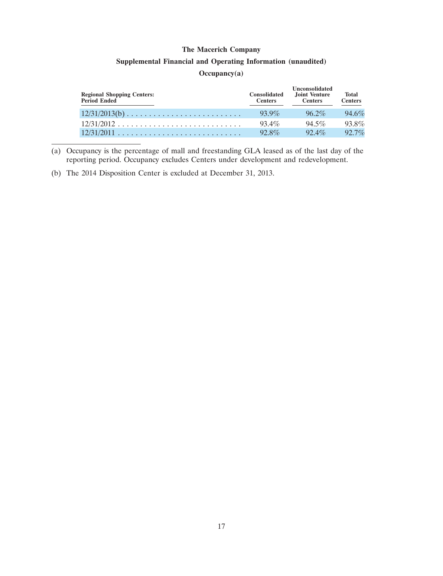#### **Supplemental Financial and Operating Information (unaudited)**

#### **Occupancy(a)**

| <b>Regional Shopping Centers:</b><br>Period Ended | <b>Consolidated</b><br><b>Centers</b> | <b>Unconsolidated</b><br>Joint Venture<br><b>Centers</b> | <b>Total</b><br><b>Centers</b> |
|---------------------------------------------------|---------------------------------------|----------------------------------------------------------|--------------------------------|
| $12/31/2013(b)$                                   | $93.9\%$                              | $96.2\%$                                                 | 94.6%                          |
|                                                   | $93.4\%$                              | $94.5\%$                                                 | 93.8%                          |
|                                                   | $92.8\%$                              | $92.4\%$                                                 | $92.7\%$                       |

(a) Occupancy is the percentage of mall and freestanding GLA leased as of the last day of the reporting period. Occupancy excludes Centers under development and redevelopment.

(b) The 2014 Disposition Center is excluded at December 31, 2013.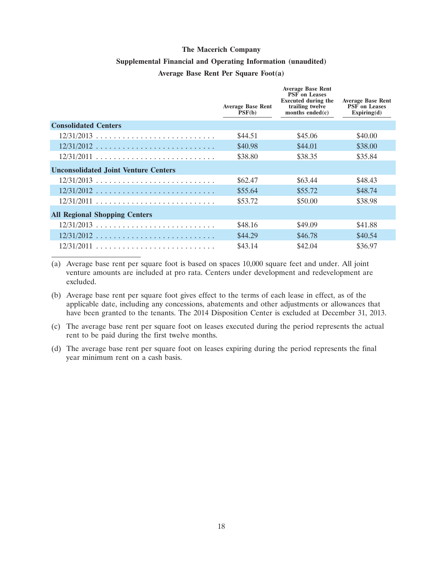#### **Supplemental Financial and Operating Information (unaudited)**

#### **Average Base Rent Per Square Foot(a)**

|                                             | <b>Average Base Rent</b><br>PSF(b) | <b>Average Base Rent</b><br><b>PSF</b> on Leases<br><b>Executed during the</b><br>trailing twelve<br>months ended $(c)$ | <b>Average Base Rent</b><br><b>PSF</b> on Leases<br>Expiring(d) |
|---------------------------------------------|------------------------------------|-------------------------------------------------------------------------------------------------------------------------|-----------------------------------------------------------------|
| <b>Consolidated Centers</b>                 |                                    |                                                                                                                         |                                                                 |
| $12/31/2013$                                | \$44.51                            | \$45.06                                                                                                                 | \$40.00                                                         |
| $12/31/2012$                                | \$40.98                            | \$44.01                                                                                                                 | \$38.00                                                         |
| $12/31/2011$                                | \$38.80                            | \$38.35                                                                                                                 | \$35.84                                                         |
| <b>Unconsolidated Joint Venture Centers</b> |                                    |                                                                                                                         |                                                                 |
| $12/31/2013$                                | \$62.47                            | \$63.44                                                                                                                 | \$48.43                                                         |
| $12/31/2012$                                | \$55.64                            | \$55.72                                                                                                                 | \$48.74                                                         |
| $12/31/2011$                                | \$53.72                            | \$50.00                                                                                                                 | \$38.98                                                         |
| <b>All Regional Shopping Centers</b>        |                                    |                                                                                                                         |                                                                 |
| $12/31/2013$                                | \$48.16                            | \$49.09                                                                                                                 | \$41.88                                                         |
| $12/31/2012$                                | \$44.29                            | \$46.78                                                                                                                 | \$40.54                                                         |
| $12/31/2011$                                | \$43.14                            | \$42.04                                                                                                                 | \$36.97                                                         |

(a) Average base rent per square foot is based on spaces 10,000 square feet and under. All joint venture amounts are included at pro rata. Centers under development and redevelopment are excluded.

(b) Average base rent per square foot gives effect to the terms of each lease in effect, as of the applicable date, including any concessions, abatements and other adjustments or allowances that have been granted to the tenants. The 2014 Disposition Center is excluded at December 31, 2013.

(c) The average base rent per square foot on leases executed during the period represents the actual rent to be paid during the first twelve months.

(d) The average base rent per square foot on leases expiring during the period represents the final year minimum rent on a cash basis.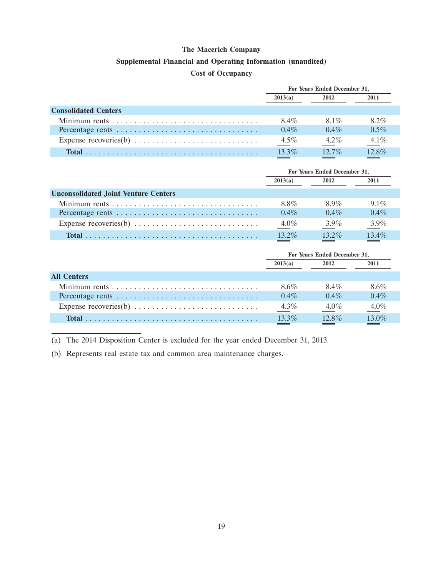#### **Supplemental Financial and Operating Information (unaudited)**

#### **Cost of Occupancy**

|                                                                               | For Years Ended December 31, |          |         |
|-------------------------------------------------------------------------------|------------------------------|----------|---------|
|                                                                               | 2013(a)                      | 2012     | 2011    |
| <b>Consolidated Centers</b>                                                   |                              |          |         |
|                                                                               | 8.4%                         | 8.1%     | $8.2\%$ |
|                                                                               | $0.4\%$                      | $0.4\%$  | $0.5\%$ |
| Expense recoveries(b) $\dots \dots \dots \dots \dots \dots \dots \dots \dots$ | $4.5\%$                      | $4.2\%$  | $4.1\%$ |
|                                                                               | $13.3\%$                     | $12.7\%$ | 12.8%   |

|                                                                               | For Years Ended December 31, |          |         |
|-------------------------------------------------------------------------------|------------------------------|----------|---------|
|                                                                               | 2013(a)                      | 2012     | 2011    |
| <b>Unconsolidated Joint Venture Centers</b>                                   |                              |          |         |
|                                                                               | 8.8%                         | 8.9%     | $9.1\%$ |
|                                                                               | $0.4\%$                      | $0.4\%$  | $0.4\%$ |
| Expense recoveries(b) $\dots \dots \dots \dots \dots \dots \dots \dots \dots$ | $4.0\%$                      | $3.9\%$  | $3.9\%$ |
|                                                                               | $13.2\%$                     | $13.2\%$ | 13.4%   |

|                    | For Years Ended December 31, |          |         |
|--------------------|------------------------------|----------|---------|
|                    | 2013(a)                      | 2012     | 2011    |
| <b>All Centers</b> |                              |          |         |
|                    | 8.6%                         | 8.4%     | 8.6%    |
|                    | $0.4\%$                      | $0.4\%$  | $0.4\%$ |
|                    | $4.3\%$                      | $4.0\%$  | $4.0\%$ |
|                    | $13.3\%$                     | $12.8\%$ | 13.0%   |

(a) The 2014 Disposition Center is excluded for the year ended December 31, 2013.

(b) Represents real estate tax and common area maintenance charges.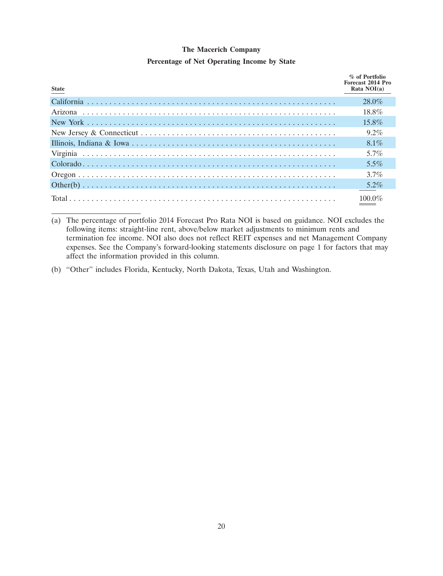#### **Percentage of Net Operating Income by State**

| <b>State</b> | % of Portfolio<br>Forecast 2014 Pro<br>Rata $NOI(a)$ |
|--------------|------------------------------------------------------|
|              | $28.0\%$                                             |
|              | 18.8%                                                |
|              | $15.8\%$                                             |
|              | $9.2\%$                                              |
|              | $8.1\%$                                              |
|              | 5.7%                                                 |
|              | $5.5\%$                                              |
|              | $3.7\%$                                              |
|              | $5.2\%$                                              |
|              | 100 $0\%$                                            |

<sup>(</sup>a) The percentage of portfolio 2014 Forecast Pro Rata NOI is based on guidance. NOI excludes the following items: straight-line rent, above/below market adjustments to minimum rents and termination fee income. NOI also does not reflect REIT expenses and net Management Company expenses. See the Company's forward-looking statements disclosure on page 1 for factors that may affect the information provided in this column.

(b) ''Other'' includes Florida, Kentucky, North Dakota, Texas, Utah and Washington.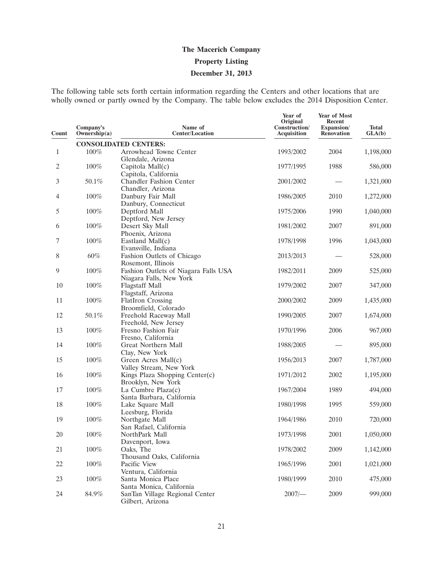# **The Macerich Company Property Listing December 31, 2013**

The following table sets forth certain information regarding the Centers and other locations that are wholly owned or partly owned by the Company. The table below excludes the 2014 Disposition Center.

| Count        | Company's<br>Ownership(a) | Name of<br><b>Center/Location</b>                  | Year of<br>Original<br>Construction/<br>Acquisition | Year of Most<br>Recent<br>Expansion/<br><b>Renovation</b> | <b>Total</b><br>GLA(b) |
|--------------|---------------------------|----------------------------------------------------|-----------------------------------------------------|-----------------------------------------------------------|------------------------|
|              |                           | <b>CONSOLIDATED CENTERS:</b>                       |                                                     |                                                           |                        |
| $\mathbf{1}$ | 100%                      | Arrowhead Towne Center                             | 1993/2002                                           | 2004                                                      | 1,198,000              |
|              |                           | Glendale, Arizona                                  |                                                     |                                                           |                        |
| 2            | 100%                      | Capitola Mall(c)                                   | 1977/1995                                           | 1988                                                      | 586,000                |
|              |                           | Capitola, California                               |                                                     |                                                           |                        |
| 3            | 50.1%                     | <b>Chandler Fashion Center</b>                     | 2001/2002                                           |                                                           | 1,321,000              |
|              |                           | Chandler, Arizona                                  |                                                     |                                                           |                        |
| 4            | 100%                      | Danbury Fair Mall                                  | 1986/2005                                           | 2010                                                      | 1,272,000              |
| 5            | 100%                      | Danbury, Connecticut<br>Deptford Mall              | 1975/2006                                           | 1990                                                      | 1,040,000              |
|              |                           | Deptford, New Jersey                               |                                                     |                                                           |                        |
| 6            | 100%                      | Desert Sky Mall                                    | 1981/2002                                           | 2007                                                      | 891,000                |
|              |                           | Phoenix, Arizona                                   |                                                     |                                                           |                        |
| 7            | 100%                      | Eastland Mall(c)                                   | 1978/1998                                           | 1996                                                      | 1,043,000              |
|              |                           | Evansville, Indiana                                |                                                     |                                                           |                        |
| 8            | 60%                       | Fashion Outlets of Chicago                         | 2013/2013                                           |                                                           | 528,000                |
|              |                           | Rosemont, Illinois                                 |                                                     |                                                           |                        |
| 9            | 100%                      | Fashion Outlets of Niagara Falls USA               | 1982/2011                                           | 2009                                                      | 525,000                |
|              |                           | Niagara Falls, New York                            |                                                     |                                                           |                        |
| 10           | 100%                      | <b>Flagstaff Mall</b>                              | 1979/2002                                           | 2007                                                      | 347,000                |
|              |                           | Flagstaff, Arizona                                 |                                                     |                                                           |                        |
| 11           | 100%                      | <b>FlatIron Crossing</b>                           | 2000/2002                                           | 2009                                                      | 1,435,000              |
|              |                           | Broomfield, Colorado                               |                                                     |                                                           |                        |
| 12           | 50.1%                     | Freehold Raceway Mall                              | 1990/2005                                           | 2007                                                      | 1,674,000              |
| 13           | $100\%$                   | Freehold, New Jersey<br>Fresno Fashion Fair        | 1970/1996                                           | 2006                                                      | 967,000                |
|              |                           | Fresno, California                                 |                                                     |                                                           |                        |
| 14           | 100%                      | Great Northern Mall                                | 1988/2005                                           |                                                           | 895,000                |
|              |                           | Clay, New York                                     |                                                     |                                                           |                        |
| 15           | 100%                      | Green Acres Mall(c)                                | 1956/2013                                           | 2007                                                      | 1,787,000              |
|              |                           | Valley Stream, New York                            |                                                     |                                                           |                        |
| 16           | 100%                      | Kings Plaza Shopping Center(c)                     | 1971/2012                                           | 2002                                                      | 1,195,000              |
|              |                           | Brooklyn, New York                                 |                                                     |                                                           |                        |
| 17           | 100%                      | La Cumbre Plaza(c)                                 | 1967/2004                                           | 1989                                                      | 494,000                |
|              |                           | Santa Barbara, California                          |                                                     |                                                           |                        |
| 18           | $100\%$                   | Lake Square Mall                                   | 1980/1998                                           | 1995                                                      | 559,000                |
|              |                           | Leesburg, Florida                                  |                                                     |                                                           |                        |
| 19           | 100%                      | Northgate Mall                                     | 1964/1986                                           | 2010                                                      | 720,000                |
| 20           | 100%                      | San Rafael, California<br>NorthPark Mall           |                                                     |                                                           |                        |
|              |                           |                                                    | 1973/1998                                           | 2001                                                      | 1,050,000              |
| 21           | $100\%$                   | Davenport, Iowa<br>Oaks, The                       | 1978/2002                                           | 2009                                                      | 1,142,000              |
|              |                           | Thousand Oaks, California                          |                                                     |                                                           |                        |
| 22           | $100\%$                   | Pacific View                                       | 1965/1996                                           | 2001                                                      | 1,021,000              |
|              |                           | Ventura, California                                |                                                     |                                                           |                        |
| 23           | 100%                      | Santa Monica Place                                 | 1980/1999                                           | 2010                                                      | 475,000                |
|              |                           | Santa Monica, California                           |                                                     |                                                           |                        |
| 24           | 84.9%                     | SanTan Village Regional Center<br>Gilbert, Arizona | $2007$ /-                                           | 2009                                                      | 999,000                |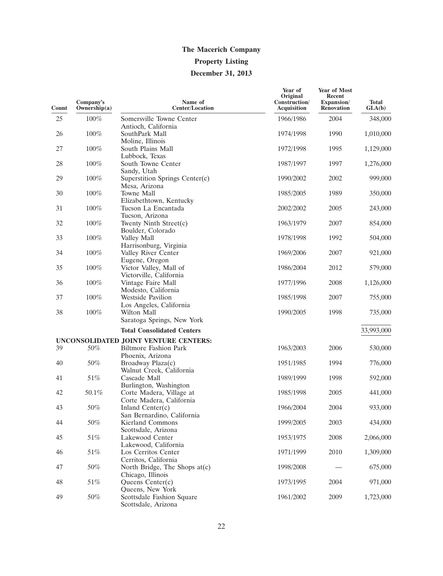### **Property Listing**

### **December 31, 2013**

| Count | Company's<br>Ownership $(a)$ | Name of<br><b>Center/Location</b>                                     | Year of<br>Original<br>Construction/<br><b>Acquisition</b> | <b>Year of Most</b><br>Recent<br>Expansion/<br><b>Renovation</b> | <b>Total</b><br>GLA(b) |
|-------|------------------------------|-----------------------------------------------------------------------|------------------------------------------------------------|------------------------------------------------------------------|------------------------|
| 25    | 100%                         | Somersville Towne Center                                              | 1966/1986                                                  | 2004                                                             | 348,000                |
| 26    | 100%                         | Antioch, California<br>SouthPark Mall                                 | 1974/1998                                                  | 1990                                                             | 1,010,000              |
| 27    | 100%                         | Moline, Illinois<br>South Plains Mall                                 | 1972/1998                                                  | 1995                                                             | 1,129,000              |
| 28    | 100%                         | Lubbock, Texas<br>South Towne Center<br>Sandy, Utah                   | 1987/1997                                                  | 1997                                                             | 1,276,000              |
| 29    | 100%                         | Superstition Springs Center(c)<br>Mesa, Arizona                       | 1990/2002                                                  | 2002                                                             | 999,000                |
| 30    | 100%                         | Towne Mall                                                            | 1985/2005                                                  | 1989                                                             | 350,000                |
| 31    | 100%                         | Elizabethtown, Kentucky<br>Tucson La Encantada<br>Tucson, Arizona     | 2002/2002                                                  | 2005                                                             | 243,000                |
| 32    | 100%                         | Twenty Ninth Street(c)                                                | 1963/1979                                                  | 2007                                                             | 854,000                |
| 33    | 100%                         | Boulder, Colorado<br>Valley Mall                                      | 1978/1998                                                  | 1992                                                             | 504,000                |
| 34    | 100%                         | Harrisonburg, Virginia<br>Valley River Center<br>Eugene, Oregon       | 1969/2006                                                  | 2007                                                             | 921,000                |
| 35    | 100%                         | Victor Valley, Mall of<br>Victorville, California                     | 1986/2004                                                  | 2012                                                             | 579,000                |
| 36    | 100%                         | Vintage Faire Mall                                                    | 1977/1996                                                  | 2008                                                             | 1,126,000              |
| 37    | 100%                         | Modesto, California<br><b>Westside Pavilion</b>                       | 1985/1998                                                  | 2007                                                             | 755,000                |
| 38    | 100%                         | Los Angeles, California<br>Wilton Mall<br>Saratoga Springs, New York  | 1990/2005                                                  | 1998                                                             | 735,000                |
|       |                              | <b>Total Consolidated Centers</b>                                     |                                                            |                                                                  | 33,993,000             |
|       |                              | UNCONSOLIDATED JOINT VENTURE CENTERS:                                 |                                                            |                                                                  |                        |
| 39    | 50%                          | <b>Biltmore Fashion Park</b><br>Phoenix, Arizona                      | 1963/2003                                                  | 2006                                                             | 530,000                |
| 40    | 50%                          | Broadway Plaza(c)<br>Walnut Creek, California                         | 1951/1985                                                  | 1994                                                             | 776,000                |
| 41    | 51%                          | Cascade Mall<br>Burlington, Washington                                | 1989/1999                                                  | 1998                                                             | 592,000                |
| 42    | 50.1%                        | Corte Madera, Village at<br>Corte Madera, California                  | 1985/1998                                                  | 2005                                                             | 441,000                |
| 43    | 50%                          | Inland Center(c)                                                      | 1966/2004                                                  | 2004                                                             | 933,000                |
| 44    | $50\%$                       | San Bernardino, California<br>Kierland Commons<br>Scottsdale, Arizona | 1999/2005                                                  | 2003                                                             | 434,000                |
| 45    | $51\%$                       | Lakewood Center                                                       | 1953/1975                                                  | 2008                                                             | 2,066,000              |
| 46    | $51\%$                       | Lakewood, California<br>Los Cerritos Center                           | 1971/1999                                                  | 2010                                                             | 1,309,000              |
| 47    | $50\%$                       | Cerritos, California<br>North Bridge, The Shops at(c)                 | 1998/2008                                                  |                                                                  | 675,000                |
| 48    | $51\%$                       | Chicago, Illinois<br>Queens Center(c)<br>Queens, New York             | 1973/1995                                                  | 2004                                                             | 971,000                |
| 49    | $50\%$                       | Scottsdale Fashion Square<br>Scottsdale, Arizona                      | 1961/2002                                                  | 2009                                                             | 1,723,000              |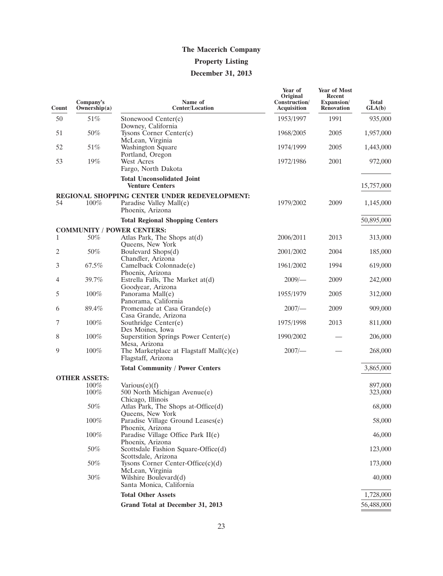# **Property Listing**

# **December 31, 2013**

| Count | Company's<br>Ownership(a) | Name of<br><b>Center/Location</b>                                                            | Year of<br>Original<br>Construction/<br>Acquisition | <b>Year of Most</b><br>Recent<br>Expansion/<br><b>Renovation</b> | <b>Total</b><br>GLA(b) |
|-------|---------------------------|----------------------------------------------------------------------------------------------|-----------------------------------------------------|------------------------------------------------------------------|------------------------|
| 50    | 51%                       | Stonewood Center $(c)$                                                                       | 1953/1997                                           | 1991                                                             | 935,000                |
| 51    | 50%                       | Downey, California<br>Tysons Corner Center(c)<br>McLean, Virginia                            | 1968/2005                                           | 2005                                                             | 1,957,000              |
| 52    | 51%                       | Washington Square<br>Portland, Oregon                                                        | 1974/1999                                           | 2005                                                             | 1,443,000              |
| 53    | 19%                       | West Acres<br>Fargo, North Dakota                                                            | 1972/1986                                           | 2001                                                             | 972,000                |
|       |                           | <b>Total Unconsolidated Joint</b><br><b>Venture Centers</b>                                  |                                                     |                                                                  | 15,757,000             |
| 54    | $100\%$                   | REGIONAL SHOPPING CENTER UNDER REDEVELOPMENT:<br>Paradise Valley Mall(e)<br>Phoenix, Arizona | 1979/2002                                           | 2009                                                             | 1,145,000              |
|       |                           | <b>Total Regional Shopping Centers</b>                                                       |                                                     |                                                                  | 50,895,000             |
|       |                           | <b>COMMUNITY / POWER CENTERS:</b>                                                            |                                                     |                                                                  |                        |
| 1     | 50%                       | Atlas Park, The Shops $at(d)$<br>Queens, New York                                            | 2006/2011                                           | 2013                                                             | 313,000                |
| 2     | 50%                       | Boulevard Shops(d)<br>Chandler, Arizona                                                      | 2001/2002                                           | 2004                                                             | 185,000                |
| 3     | 67.5%                     | Camelback Colonnade(e)<br>Phoenix, Arizona                                                   | 1961/2002                                           | 1994                                                             | 619,000                |
| 4     | 39.7%                     | Estrella Falls, The Market at(d)<br>Goodyear, Arizona                                        | $2009$ /-                                           | 2009                                                             | 242,000                |
| 5     | $100\%$                   | Panorama Mall(e)<br>Panorama, California                                                     | 1955/1979                                           | 2005                                                             | 312,000                |
| 6     | 89.4%                     | Promenade at Casa Grande(e)<br>Casa Grande, Arizona                                          | 2007/                                               | 2009                                                             | 909,000                |
| 7     | $100\%$                   | Southridge Center(e)<br>Des Moines, Iowa                                                     | 1975/1998                                           | 2013                                                             | 811,000                |
| 8     | $100\%$                   | Superstition Springs Power Center(e)<br>Mesa, Arizona                                        | 1990/2002                                           |                                                                  | 206,000                |
| 9     | 100%                      | The Marketplace at Flagstaff Mall(c)(e)<br>Flagstaff, Arizona                                | $2007$ /-                                           |                                                                  | 268,000                |
|       |                           | <b>Total Community / Power Centers</b>                                                       |                                                     |                                                                  | 3,865,000              |
|       | <b>OTHER ASSETS:</b>      |                                                                                              |                                                     |                                                                  |                        |
|       | $100\%$<br>$100\%$        | Various $(e)(f)$<br>500 North Michigan Avenue(e)                                             |                                                     |                                                                  | 897,000<br>323,000     |
|       | 50%                       | Chicago, Illinois<br>Atlas Park, The Shops at-Office(d)                                      |                                                     |                                                                  | 68,000                 |
|       | $100\%$                   | Queens, New York<br>Paradise Village Ground Leases(e)                                        |                                                     |                                                                  | 58,000                 |
|       | $100\%$                   | Phoenix, Arizona<br>Paradise Village Office Park II(e)                                       |                                                     |                                                                  | 46,000                 |
|       | $50\%$                    | Phoenix, Arizona<br>Scottsdale Fashion Square-Office(d)                                      |                                                     |                                                                  | 123,000                |
|       | 50%                       | Scottsdale, Arizona<br>Tysons Corner Center-Office $(c)(d)$                                  |                                                     |                                                                  | 173,000                |
|       | 30%                       | McLean, Virginia<br>Wilshire Boulevard(d)<br>Santa Monica, California                        |                                                     |                                                                  | 40,000                 |
|       |                           | <b>Total Other Assets</b>                                                                    |                                                     |                                                                  | 1,728,000              |
|       |                           | Grand Total at December 31, 2013                                                             |                                                     |                                                                  | 56,488,000             |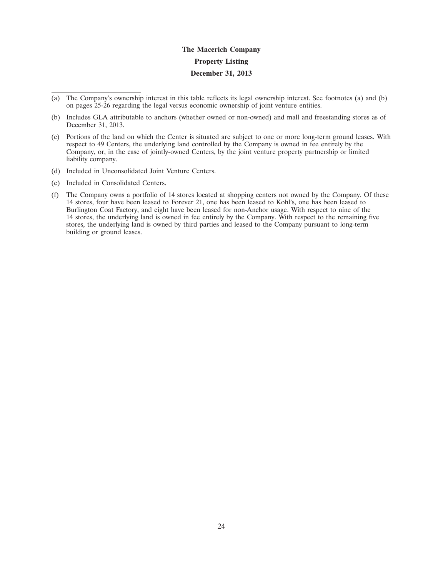# **The Macerich Company Property Listing December 31, 2013**

- (a) The Company's ownership interest in this table reflects its legal ownership interest. See footnotes (a) and (b) on pages 25-26 regarding the legal versus economic ownership of joint venture entities.
- (b) Includes GLA attributable to anchors (whether owned or non-owned) and mall and freestanding stores as of December 31, 2013.
- (c) Portions of the land on which the Center is situated are subject to one or more long-term ground leases. With respect to 49 Centers, the underlying land controlled by the Company is owned in fee entirely by the Company, or, in the case of jointly-owned Centers, by the joint venture property partnership or limited liability company.
- (d) Included in Unconsolidated Joint Venture Centers.
- (e) Included in Consolidated Centers.
- (f) The Company owns a portfolio of 14 stores located at shopping centers not owned by the Company. Of these 14 stores, four have been leased to Forever 21, one has been leased to Kohl's, one has been leased to Burlington Coat Factory, and eight have been leased for non-Anchor usage. With respect to nine of the 14 stores, the underlying land is owned in fee entirely by the Company. With respect to the remaining five stores, the underlying land is owned by third parties and leased to the Company pursuant to long-term building or ground leases.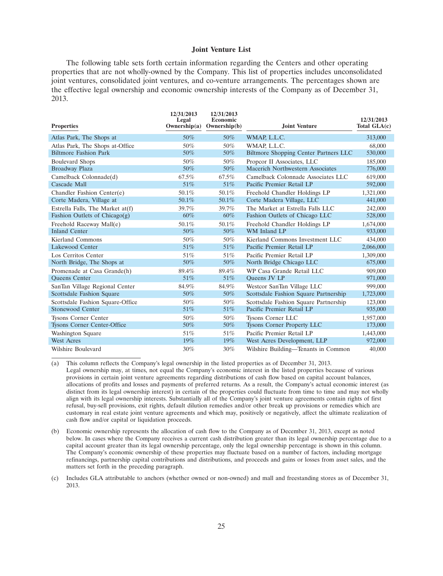#### **Joint Venture List**

The following table sets forth certain information regarding the Centers and other operating properties that are not wholly-owned by the Company. This list of properties includes unconsolidated joint ventures, consolidated joint ventures, and co-venture arrangements. The percentages shown are the effective legal ownership and economic ownership interests of the Company as of December 31, 2013.

| <b>Properties</b>                | 12/31/2013<br>Legal<br>Ownership(a) | 12/31/2013<br><b>Economic</b><br>Ownership(b) | <b>Joint Venture</b>                         | 12/31/2013<br>Total $GLA(c)$ |
|----------------------------------|-------------------------------------|-----------------------------------------------|----------------------------------------------|------------------------------|
| Atlas Park, The Shops at         | 50%                                 | $50\%$                                        | WMAP, L.L.C.                                 | 313,000                      |
| Atlas Park, The Shops at-Office  | 50%                                 | 50%                                           | WMAP, L.L.C.                                 | 68,000                       |
| <b>Biltmore Fashion Park</b>     | 50%                                 | $50\%$                                        | <b>Biltmore Shopping Center Partners LLC</b> | 530,000                      |
| <b>Boulevard Shops</b>           | 50%                                 | 50%                                           | Propcor II Associates, LLC                   | 185,000                      |
| Broadway Plaza                   | 50%                                 | 50%                                           | Macerich Northwestern Associates             | 776,000                      |
| Camelback Colonnade(d)           | 67.5%                               | 67.5%                                         | Camelback Colonnade Associates LLC           | 619,000                      |
| Cascade Mall                     | 51%                                 | 51\%                                          | Pacific Premier Retail LP                    | 592,000                      |
| Chandler Fashion Center(e)       | 50.1%                               | 50.1%                                         | Freehold Chandler Holdings LP                | 1,321,000                    |
| Corte Madera, Village at         | 50.1%                               | 50.1%                                         | Corte Madera Village, LLC                    | 441,000                      |
| Estrella Falls, The Market at(f) | 39.7%                               | 39.7%                                         | The Market at Estrella Falls LLC             | 242,000                      |
| Fashion Outlets of Chicago $(g)$ | 60%                                 | $60\%$                                        | Fashion Outlets of Chicago LLC               | 528,000                      |
| Freehold Raceway Mall(e)         | 50.1%                               | 50.1%                                         | Freehold Chandler Holdings LP                | 1,674,000                    |
| <b>Inland Center</b>             | 50%                                 | $50\%$                                        | WM Inland LP                                 | 933,000                      |
| Kierland Commons                 | 50%                                 | 50%                                           | Kierland Commons Investment LLC              | 434,000                      |
| Lakewood Center                  | 51%                                 | $51\%$                                        | Pacific Premier Retail LP                    | 2,066,000                    |
| Los Cerritos Center              | 51%                                 | 51%                                           | Pacific Premier Retail LP                    | 1,309,000                    |
| North Bridge, The Shops at       | 50%                                 | $50\%$                                        | North Bridge Chicago LLC                     | 675,000                      |
| Promenade at Casa Grande(h)      | 89.4%                               | 89.4%                                         | WP Casa Grande Retail LLC                    | 909,000                      |
| <b>Oueens</b> Center             | 51%                                 | 51%                                           | Oueens JV LP                                 | 971,000                      |
| SanTan Village Regional Center   | 84.9%                               | 84.9%                                         | Westcor SanTan Village LLC                   | 999,000                      |
| Scottsdale Fashion Square        | 50%                                 | 50%                                           | Scottsdale Fashion Square Partnership        | 1,723,000                    |
| Scottsdale Fashion Square-Office | 50%                                 | 50%                                           | Scottsdale Fashion Square Partnership        | 123,000                      |
| Stonewood Center                 | 51%                                 | 51%                                           | Pacific Premier Retail LP                    | 935,000                      |
| <b>Tysons Corner Center</b>      | 50%                                 | 50%                                           | Tysons Corner LLC                            | 1,957,000                    |
| Tysons Corner Center-Office      | 50%                                 | $50\%$                                        | <b>Tysons Corner Property LLC</b>            | 173,000                      |
| Washington Square                | 51%                                 | 51%                                           | Pacific Premier Retail LP                    | 1,443,000                    |
| <b>West Acres</b>                | $19\%$                              | $19\%$                                        | West Acres Development, LLP                  | 972,000                      |
| Wilshire Boulevard               | $30\%$                              | $30\%$                                        | Wilshire Building—Tenants in Common          | 40,000                       |

(a) This column reflects the Company's legal ownership in the listed properties as of December 31, 2013. Legal ownership may, at times, not equal the Company's economic interest in the listed properties because of various provisions in certain joint venture agreements regarding distributions of cash flow based on capital account balances, allocations of profits and losses and payments of preferred returns. As a result, the Company's actual economic interest (as distinct from its legal ownership interest) in certain of the properties could fluctuate from time to time and may not wholly align with its legal ownership interests. Substantially all of the Company's joint venture agreements contain rights of first refusal, buy-sell provisions, exit rights, default dilution remedies and/or other break up provisions or remedies which are customary in real estate joint venture agreements and which may, positively or negatively, affect the ultimate realization of cash flow and/or capital or liquidation proceeds.

- (b) Economic ownership represents the allocation of cash flow to the Company as of December 31, 2013, except as noted below. In cases where the Company receives a current cash distribution greater than its legal ownership percentage due to a capital account greater than its legal ownership percentage, only the legal ownership percentage is shown in this column. The Company's economic ownership of these properties may fluctuate based on a number of factors, including mortgage refinancings, partnership capital contributions and distributions, and proceeds and gains or losses from asset sales, and the matters set forth in the preceding paragraph.
- (c) Includes GLA attributable to anchors (whether owned or non-owned) and mall and freestanding stores as of December 31, 2013.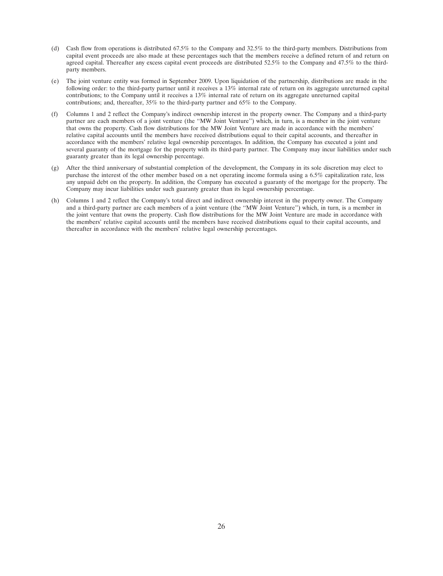- (d) Cash flow from operations is distributed 67.5% to the Company and 32.5% to the third-party members. Distributions from capital event proceeds are also made at these percentages such that the members receive a defined return of and return on agreed capital. Thereafter any excess capital event proceeds are distributed 52.5% to the Company and 47.5% to the thirdparty members.
- (e) The joint venture entity was formed in September 2009. Upon liquidation of the partnership, distributions are made in the following order: to the third-party partner until it receives a 13% internal rate of return on its aggregate unreturned capital contributions; to the Company until it receives a 13% internal rate of return on its aggregate unreturned capital contributions; and, thereafter, 35% to the third-party partner and 65% to the Company.
- (f) Columns 1 and 2 reflect the Company's indirect ownership interest in the property owner. The Company and a third-party partner are each members of a joint venture (the ''MW Joint Venture'') which, in turn, is a member in the joint venture that owns the property. Cash flow distributions for the MW Joint Venture are made in accordance with the members' relative capital accounts until the members have received distributions equal to their capital accounts, and thereafter in accordance with the members' relative legal ownership percentages. In addition, the Company has executed a joint and several guaranty of the mortgage for the property with its third-party partner. The Company may incur liabilities under such guaranty greater than its legal ownership percentage.
- (g) After the third anniversary of substantial completion of the development, the Company in its sole discretion may elect to purchase the interest of the other member based on a net operating income formula using a 6.5% capitalization rate, less any unpaid debt on the property. In addition, the Company has executed a guaranty of the mortgage for the property. The Company may incur liabilities under such guaranty greater than its legal ownership percentage.
- (h) Columns 1 and 2 reflect the Company's total direct and indirect ownership interest in the property owner. The Company and a third-party partner are each members of a joint venture (the ''MW Joint Venture'') which, in turn, is a member in the joint venture that owns the property. Cash flow distributions for the MW Joint Venture are made in accordance with the members' relative capital accounts until the members have received distributions equal to their capital accounts, and thereafter in accordance with the members' relative legal ownership percentages.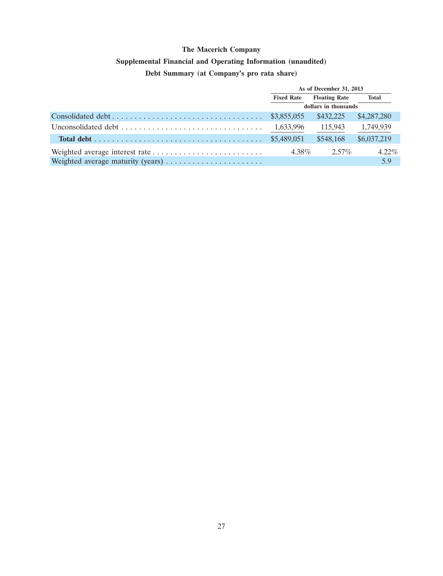## **Supplemental Financial and Operating Information (unaudited)**

# **Debt Summary (at Company's pro rata share)**

| As of December 31, 2013 |                      |             |
|-------------------------|----------------------|-------------|
| <b>Fixed Rate</b>       | <b>Floating Rate</b> | Total       |
| dollars in thousands    |                      |             |
|                         | \$432,225            | \$4,287,280 |
| 1,633,996               | 115,943              | 1,749,939   |
|                         | \$548,168            | \$6,037,219 |
| 4.38%                   | $2.57\%$             | $4.22\%$    |
|                         |                      | 5.9         |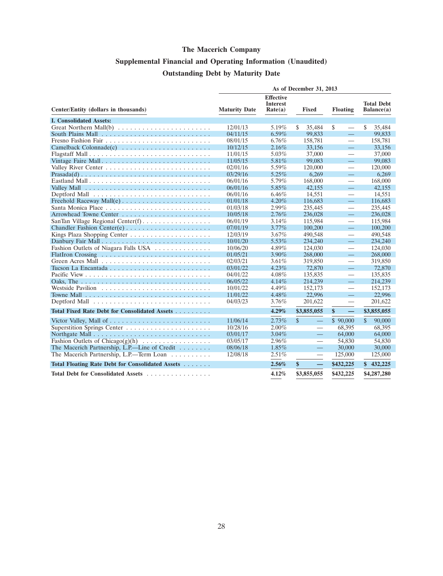# **Supplemental Financial and Operating Information (Unaudited) Outstanding Debt by Maturity Date**

|                                                                                   | As of December 31, 2013 |                                                |                                          |                                   |                                 |  |  |
|-----------------------------------------------------------------------------------|-------------------------|------------------------------------------------|------------------------------------------|-----------------------------------|---------------------------------|--|--|
| Center/Entity (dollars in thousands)                                              | <b>Maturity Date</b>    | <b>Effective</b><br><b>Interest</b><br>Rate(a) | <b>Fixed</b>                             | <b>Floating</b>                   | <b>Total Debt</b><br>Balance(a) |  |  |
| <b>I. Consolidated Assets:</b>                                                    |                         |                                                |                                          |                                   |                                 |  |  |
|                                                                                   | 12/01/13                | 5.19%                                          | S.<br>35,484                             | \$                                | \$<br>35,484                    |  |  |
|                                                                                   | 04/11/15                | 6.59%                                          | 99,833                                   | $\equiv$                          | 99,833                          |  |  |
|                                                                                   | 08/01/15                | $6.76\%$                                       | 158,781                                  |                                   | 158,781                         |  |  |
|                                                                                   | 10/12/15                | $2.16\%$                                       | 33,156                                   | $\equiv$                          | 33,156                          |  |  |
|                                                                                   | 11/01/15                | $5.03\%$                                       | 37,000                                   |                                   | 37,000                          |  |  |
| Vintage Faire Mall                                                                | 11/05/15                | 5.81%                                          | 99,083                                   | $\equiv$                          | 99,083                          |  |  |
|                                                                                   | 02/01/16                | 5.59%                                          | 120,000                                  |                                   | 120,000                         |  |  |
|                                                                                   | 03/29/16                | 5.25%                                          | 6,269                                    | $\equiv$                          | 6,269                           |  |  |
|                                                                                   | 06/01/16                | 5.79%                                          | 168,000                                  | $\overbrace{\phantom{12333}}$     | 168,000                         |  |  |
|                                                                                   | 06/01/16                | 5.85%                                          | 42,155                                   | $\equiv$                          | 42,155                          |  |  |
|                                                                                   | 06/01/16                | 6.46%                                          | 14,551                                   | $\overline{\phantom{0}}$          | 14,551                          |  |  |
|                                                                                   | 01/01/18                | 4.20%                                          | 116,683                                  | $=$                               | 116,683                         |  |  |
|                                                                                   | 01/03/18                | 2.99%                                          | 235,445                                  | $\overline{\phantom{0}}$          | 235,445                         |  |  |
|                                                                                   | 10/05/18                | 2.76%                                          | 236,028                                  | $\equiv$                          | 236,028                         |  |  |
| SanTan Village Regional Center(f)                                                 | 06/01/19                | 3.14%                                          | 115,984                                  | $\overline{\phantom{0}}$          | 115,984                         |  |  |
|                                                                                   | 07/01/19                | $3.77\%$                                       | 100,200                                  | $\equiv$                          | 100,200                         |  |  |
|                                                                                   | 12/03/19                | 3.67%                                          | 490,548                                  | $\qquad \qquad$                   | 490,548                         |  |  |
|                                                                                   | 10/01/20                | 5.53%                                          | 234,240                                  | $\equiv$                          | 234,240                         |  |  |
| Fashion Outlets of Niagara Falls USA                                              | 10/06/20                | 4.89%                                          | 124,030                                  |                                   | 124,030                         |  |  |
|                                                                                   | 01/05/21                | $3.90\%$                                       | 268,000                                  | $\equiv$                          | 268,000                         |  |  |
|                                                                                   | 02/03/21                | 3.61%                                          | 319,850                                  |                                   | 319,850                         |  |  |
|                                                                                   | 03/01/22                | $4.23\%$                                       | 72,870                                   | $\equiv$                          | 72,870                          |  |  |
|                                                                                   | 04/01/22                | 4.08%                                          | 135,835                                  | $\overbrace{\phantom{123221111}}$ | 135,835                         |  |  |
| Oaks, The $\ldots \ldots \ldots \ldots \ldots \ldots \ldots \ldots \ldots \ldots$ | 06/05/22                | 4.14%                                          | 214,239                                  | 二                                 | 214,239                         |  |  |
|                                                                                   | 10/01/22                | 4.49%                                          | 152,173                                  |                                   | 152,173                         |  |  |
|                                                                                   | 11/01/22                | 4.48%                                          | 22,996                                   | 二                                 | 22.996                          |  |  |
|                                                                                   | 04/03/23                | 3.76%                                          | 201,622                                  | $\overline{\phantom{0}}$          | 201,622                         |  |  |
| Total Fixed Rate Debt for Consolidated Assets                                     |                         | 4.29%                                          | \$3,855,055                              | $\equiv$<br>\$                    | \$3,855,055                     |  |  |
|                                                                                   | 11/06/14                | 2.73%                                          | $\mathbb{S}$<br>$\overline{\phantom{0}}$ | \$90,000                          | $\mathbb{S}$<br>90,000          |  |  |
|                                                                                   | 10/28/16                | $2.00\%$                                       | $\overline{\phantom{0}}$                 | 68,395                            | 68,395                          |  |  |
|                                                                                   | 03/01/17                | $3.04\%$                                       | $\equiv$                                 | 64,000                            | 64,000                          |  |  |
| Fashion Outlets of Chicago(g)(h) $\dots \dots \dots \dots \dots$                  | 03/05/17                | 2.96%                                          | $\overline{\phantom{0}}$                 | 54,830                            | 54,830                          |  |  |
| The Macerich Partnership, L.P.—Line of Credit $\dots \dots$                       | 08/06/18                | 1.85%                                          |                                          | 30,000                            | 30,000                          |  |  |
| The Macerich Partnership, L.P.-Term Loan                                          | 12/08/18                | 2.51%                                          | $\overline{\phantom{0}}$                 | 125,000                           | 125,000                         |  |  |
| Total Floating Rate Debt for Consolidated Assets                                  |                         | 2.56%                                          | \$<br>$\overline{\phantom{0}}$           | \$432,225                         | \$<br>432,225                   |  |  |
| Total Debt for Consolidated Assets                                                |                         | 4.12%                                          | \$3,855,055                              | \$432,225                         | \$4,287,280                     |  |  |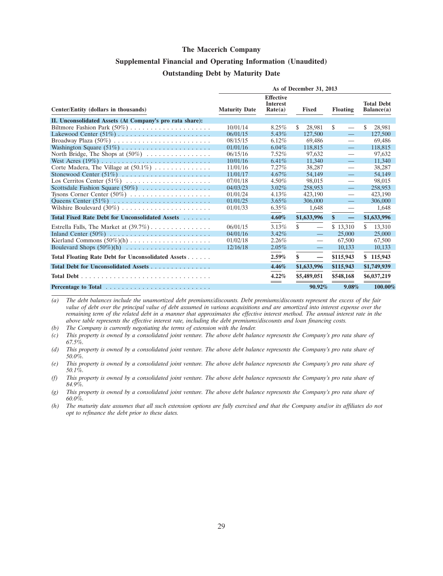### **Supplemental Financial and Operating Information (Unaudited) Outstanding Debt by Maturity Date**

|                                                                 | As of December 31, 2013 |                                                |                                |                                          |                                 |  |  |
|-----------------------------------------------------------------|-------------------------|------------------------------------------------|--------------------------------|------------------------------------------|---------------------------------|--|--|
| Center/Entity (dollars in thousands)                            | <b>Maturity Date</b>    | <b>Effective</b><br><b>Interest</b><br>Rate(a) | <b>Fixed</b>                   | <b>Floating</b>                          | <b>Total Debt</b><br>Balance(a) |  |  |
| II. Unconsolidated Assets (At Company's pro rata share):        |                         |                                                |                                |                                          |                                 |  |  |
|                                                                 | 10/01/14                | 8.25%                                          | \$<br>28.981                   | \$<br>$\qquad \qquad$                    | S<br>28.981                     |  |  |
|                                                                 | 06/01/15                | $5.43\%$                                       | 127,500                        | $\equiv$                                 | 127,500                         |  |  |
|                                                                 | 08/15/15                | $6.12\%$                                       | 69.486                         |                                          | 69,486                          |  |  |
|                                                                 | 01/01/16                | $6.04\%$                                       | 118,815                        | $\qquad \qquad -$                        | 118,815                         |  |  |
| North Bridge, The Shops at $(50\%)$                             | 06/15/16                | $7.52\%$                                       | 97,632                         | $\overline{\phantom{0}}$                 | 97.632                          |  |  |
|                                                                 | 10/01/16                | 6.41%                                          | 11,340                         | $\qquad \qquad -$                        | 11,340                          |  |  |
| Corte Madera, The Village at $(50.1\%) \dots \dots \dots \dots$ | 11/01/16                | $7.27\%$                                       | 38,287                         |                                          | 38,287                          |  |  |
|                                                                 | 11/01/17                | $4.67\%$                                       | 54.149                         | $\qquad \qquad -$                        | 54.149                          |  |  |
| Los Cerritos Center $(51\%)$                                    | 07/01/18                | $4.50\%$                                       | 98,015                         | $\qquad \qquad$                          | 98,015                          |  |  |
| Scottsdale Fashion Square $(50\%)$                              | 04/03/23                | $3.02\%$                                       | 258,953                        | $\qquad \qquad -$                        | 258,953                         |  |  |
| Tysons Corner Center $(50\%)$                                   | 01/01/24                | $4.13\%$                                       | 423,190                        |                                          | 423,190                         |  |  |
|                                                                 | 01/01/25                | $3.65\%$                                       | 306,000                        | $\qquad \qquad -$                        | 306,000                         |  |  |
|                                                                 | 01/01/33                | $6.35\%$                                       | 1,648                          |                                          | 1,648                           |  |  |
| Total Fixed Rate Debt for Unconsolidated Assets                 |                         | 4.60%                                          | \$1,633,996                    | $\mathbf{s}$<br>$\overline{\phantom{m}}$ | \$1,633,996                     |  |  |
| Estrella Falls, The Market at $(39.7\%)$                        | 06/01/15                | 3.13%                                          | \$<br>$\overline{\phantom{0}}$ | \$13,310                                 | \$<br>13,310                    |  |  |
|                                                                 | 04/01/16                | 3.42%                                          | $\equiv$                       | 25,000                                   | 25,000                          |  |  |
|                                                                 | 01/02/18                | $2.26\%$                                       | $\overline{\phantom{0}}$       | 67,500                                   | 67,500                          |  |  |
|                                                                 | 12/16/18                | $2.05\%$                                       | $\overline{\phantom{m}}$       | 10,133                                   | 10,133                          |  |  |
| Total Floating Rate Debt for Unconsolidated Assets              |                         | 2.59%                                          | \$<br>$\overline{\phantom{m}}$ | \$115,943                                | \$115,943                       |  |  |
| Total Debt for Unconsolidated Assets                            |                         | 4.46%                                          | \$1,633,996                    | \$115,943                                | \$1,749,939                     |  |  |
|                                                                 |                         | 4.22%                                          | \$5,489,051                    | \$548,168                                | \$6,037,219                     |  |  |
|                                                                 |                         | $=$                                            | 90.92%                         | 9.08%                                    | 100.00%                         |  |  |

*(a) The debt balances include the unamortized debt premiums/discounts. Debt premiums/discounts represent the excess of the fair value of debt over the principal value of debt assumed in various acquisitions and are amortized into interest expense over the remaining term of the related debt in a manner that approximates the effective interest method. The annual interest rate in the above table represents the effective interest rate, including the debt premiums/discounts and loan financing costs.*

*(b) The Company is currently negotiating the terms of extension with the lender.*

*(c) This property is owned by a consolidated joint venture. The above debt balance represents the Company's pro rata share of 67.5%.*

*(g) This property is owned by a consolidated joint venture. The above debt balance represents the Company's pro rata share of 60.0%.*

*(h) The maturity date assumes that all such extension options are fully exercised and that the Company and/or its affiliates do not opt to refinance the debt prior to these dates.*

*<sup>(</sup>d) This property is owned by a consolidated joint venture. The above debt balance represents the Company's pro rata share of 50.0%.*

*<sup>(</sup>e) This property is owned by a consolidated joint venture. The above debt balance represents the Company's pro rata share of 50.1%.*

*<sup>(</sup>f) This property is owned by a consolidated joint venture. The above debt balance represents the Company's pro rata share of 84.9%.*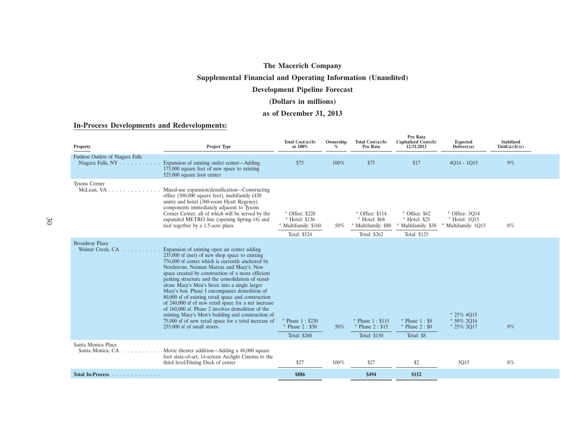### **Supplemental Financial and Operating Information (Unaudited)**

#### **Development Pipeline Forecast**

### **(Dollars in millions)**

#### **as of December 31, 2013**

#### **In-Process Developments and Redevelopments:**

| <b>Property</b>                                       | Project Type                                                                                                                                                                                                                                                                                                                                                                                                                                                                                                                                                                                                                                                                                                                   | Total $Cost(a)(b)$<br>at 100%                                             | Ownership<br>$\%$ | Total $Cost(a)(b)$<br>Pro Rata                                          | Pro Rata<br>Capitalized Costs(b)<br>12/31/2013                       | <b>Expected</b><br>Delivery(a)                       | Stabilized<br>Yield(a)(b)(c) |  |
|-------------------------------------------------------|--------------------------------------------------------------------------------------------------------------------------------------------------------------------------------------------------------------------------------------------------------------------------------------------------------------------------------------------------------------------------------------------------------------------------------------------------------------------------------------------------------------------------------------------------------------------------------------------------------------------------------------------------------------------------------------------------------------------------------|---------------------------------------------------------------------------|-------------------|-------------------------------------------------------------------------|----------------------------------------------------------------------|------------------------------------------------------|------------------------------|--|
| Fashion Outlets of Niagara Falls<br>Niagara Falls, NY | Expansion of existing outlet center—Adding<br>175,000 square feet of new space to existing<br>525,000 square foot center                                                                                                                                                                                                                                                                                                                                                                                                                                                                                                                                                                                                       | \$75                                                                      | 100%              | \$75                                                                    | \$17                                                                 | 4014 - 1015                                          | 9%                           |  |
| <b>Tysons Corner</b>                                  | Mixed-use expansion/densification-Constructing<br>office (500,000 square feet), multifamily (430<br>units) and hotel (300-room Hyatt Regency)<br>components immediately adjacent to Tysons<br>Corner Center, all of which will be served by the<br>expanded METRO line (opening Spring-14) and<br>tied together by a 1.5-acre plaza                                                                                                                                                                                                                                                                                                                                                                                            | * Office: \$228<br>* Hotel: \$136<br>* Multifamily: \$160<br>Total: \$524 | 50%               | * Office: \$114<br>* Hotel: \$68<br>* Multifamily: \$80<br>Total: \$262 | * Office: \$62<br>* Hotel: \$25<br>Multifamily: \$38<br>Total: \$125 | * Office: 3014<br>* Hotel: 1015<br>Multifamily: 1Q15 | 8%                           |  |
| <b>Broadway Plaza</b><br>Walnut Creek, CA             | Expansion of existing open air center adding<br>$235,000$ sf (net) of new shop space to existing<br>776,000 sf center which is currently anchored by<br>Nordstrom, Neiman Marcus and Macy's. New<br>space created by construction of a more efficient<br>parking structure and the consolidation of stand-<br>alone Macy's Men's Store into a single larger<br>Macy's box. Phase I encompasses demolition of<br>80,000 sf of existing retail space and construction<br>of 240,000 sf of new retail space for a net increase<br>of 160,000 sf. Phase 2 involves demolition of the<br>existing Macy's Men's building and construction of<br>75,000 sf of new retail space for a total increase of<br>235,000 sf of small stores. | * Phase 1: \$230<br>Phase 2: \$30<br>Total: \$260                         | 50%               | * Phase 1: \$115<br>* Phase 2: \$15<br>Total: \$130                     | $*$ Phase 1: \$8<br>* Phase 2: \$0<br>Total: \$8                     | * 25% 4015<br>* 50% 2016<br>* 25% 2017               | 9%                           |  |
| Santa Monica Place<br>Santa Monica, CA                | Movie theater addition—Adding a 48,000 square<br>foot state-of-art, 14-screen Arclight Cinema to the<br>third level/Dining Deck of center                                                                                                                                                                                                                                                                                                                                                                                                                                                                                                                                                                                      | \$27                                                                      | 100%              | \$27                                                                    | \$2                                                                  | 3Q15                                                 | 8%                           |  |
| Total In-Process                                      |                                                                                                                                                                                                                                                                                                                                                                                                                                                                                                                                                                                                                                                                                                                                | \$886                                                                     |                   | \$494                                                                   | \$152                                                                |                                                      |                              |  |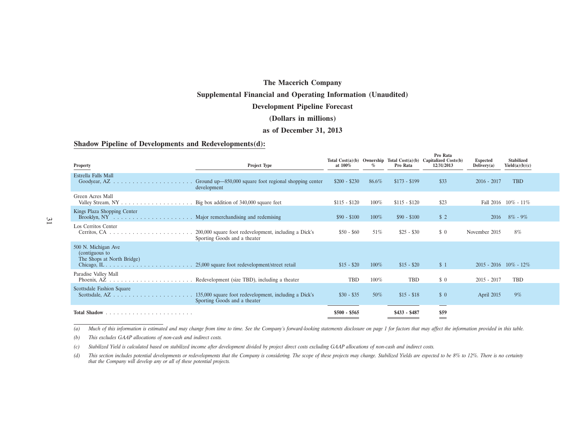#### **Supplemental Financial and Operating Information (Unaudited)**

#### **Development Pipeline Forecast**

#### **(Dollars in millions)**

#### **as of December 31, 2013**

#### **Shadow Pipeline of Developments and Redevelopments(d):**

| Property                                                                                | Project Type                                                                          | at 100%       | %       | Pro Rata      | Pro Rata<br>Total Cost(a)(b) Ownership Total Cost(a)(b) Capitalized Costs(b)<br>12/31/2013 | <b>Expected</b><br>Delivery(a) | <b>Stabilized</b><br>Yield(a)(b)(c) |
|-----------------------------------------------------------------------------------------|---------------------------------------------------------------------------------------|---------------|---------|---------------|--------------------------------------------------------------------------------------------|--------------------------------|-------------------------------------|
| Estrella Falls Mall<br>Goodyear, $AZ \dots \dots \dots \dots \dots \dots \dots \dots$   | Ground up—850,000 square foot regional shopping center<br>development                 | $$200 - $230$ | 86.6%   | $$173 - $199$ | \$33                                                                                       | $2016 - 2017$                  | <b>TBD</b>                          |
| Green Acres Mall                                                                        | Big box addition of 340,000 square feet                                               | $$115 - $120$ | $100\%$ | $$115 - $120$ | \$23                                                                                       |                                | Fall $2016$ $10\%$ - $11\%$         |
| Kings Plaza Shopping Center                                                             |                                                                                       | $$90 - $100$  | $100\%$ | $$90 - $100$  | \$2                                                                                        | 2016                           | $8\%$ - $9\%$                       |
| Los Cerritos Center<br>Cerritos, CA $\ldots \ldots \ldots \ldots \ldots \ldots \ldots$  | 200,000 square foot redevelopment, including a Dick's<br>Sporting Goods and a theater | $$50 - $60$   | 51%     | $$25 - $30$   | $\frac{1}{2}$                                                                              | November 2015                  | 8%                                  |
| 500 N. Michigan Ave<br>(contiguous to<br>The Shops at North Bridge)                     |                                                                                       | $$15 - $20$   | $100\%$ | $$15 - $20$   | \$1                                                                                        | $2015 - 2016$ $10\% - 12\%$    |                                     |
| Paradise Valley Mall                                                                    | Redevelopment (size TBD), including a theater                                         | <b>TBD</b>    | 100%    | <b>TBD</b>    | \$0                                                                                        | $2015 - 2017$                  | <b>TBD</b>                          |
| Scottsdale Fashion Square<br>Scottsdale, $AZ \dots \dots \dots \dots \dots \dots \dots$ | 135,000 square foot redevelopment, including a Dick's<br>Sporting Goods and a theater | $$30 - $35$   | 50%     | $$15 - $18$   | $\frac{1}{2}$                                                                              | April 2015                     | 9%                                  |
| <b>Total Shadow</b>                                                                     |                                                                                       | $$500 - $565$ |         | $$433 - $487$ | \$59<br>$\qquad \qquad =$                                                                  |                                |                                     |

(a) Much of this information is estimated and may change from time to time. See the Company's forward-looking statements disclosure on page 1 for factors that may affect the information provided in this table.

*(b) This excludes GAAP allocations of non-cash and indirect costs.*

*(c) Stabilized Yield is calculated based on stabilized income after development divided by project direct costs excluding GAAP allocations of non-cash and indirect costs.*

(d) This section includes potential developments or redevelopments that the Company is considering. The scope of these projects may change. Stabilized Yields are expected to be 8% to 12%. There is no certainty *that the Company will develop any or all of these potential projects.*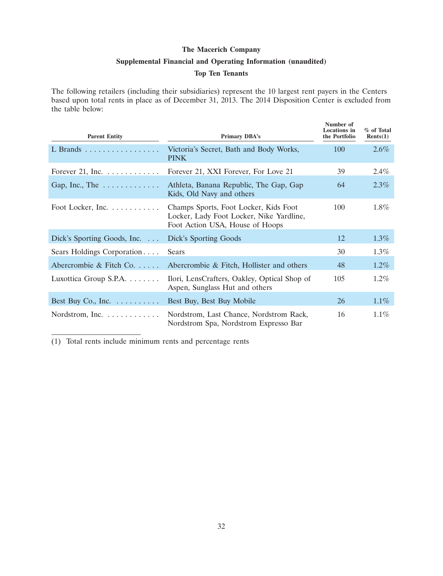# **The Macerich Company Supplemental Financial and Operating Information (unaudited)**

#### **Top Ten Tenants**

The following retailers (including their subsidiaries) represent the 10 largest rent payers in the Centers based upon total rents in place as of December 31, 2013. The 2014 Disposition Center is excluded from the table below:

| <b>Parent Entity</b>                  | <b>Primary DBA's</b>                                                                                                 | Number of<br><b>Locations</b> in<br>the Portfolio | % of Total<br>Rents(1) |
|---------------------------------------|----------------------------------------------------------------------------------------------------------------------|---------------------------------------------------|------------------------|
| L Brands                              | Victoria's Secret, Bath and Body Works,<br><b>PINK</b>                                                               | 100                                               | 2.6%                   |
| Forever 21, Inc. $\dots \dots \dots$  | Forever 21, XXI Forever, For Love 21                                                                                 | 39                                                | $2.4\%$                |
| Gap, Inc., The $\dots \dots \dots$    | Athleta, Banana Republic, The Gap, Gap<br>Kids, Old Navy and others                                                  | 64                                                | 2.3%                   |
| Foot Locker, Inc. $\dots \dots \dots$ | Champs Sports, Foot Locker, Kids Foot<br>Locker, Lady Foot Locker, Nike Yardline,<br>Foot Action USA, House of Hoops | 100                                               | $1.8\%$                |
| Dick's Sporting Goods, Inc. $\ldots$  | Dick's Sporting Goods                                                                                                | 12                                                | $1.3\%$                |
| Sears Holdings Corporation            | Sears                                                                                                                | 30                                                | $1.3\%$                |
| Abercrombie & Fitch Co.               | Abercrombie & Fitch, Hollister and others                                                                            | 48                                                | $1.2\%$                |
| Luxottica Group S.P.A.                | Ilori, LensCrafters, Oakley, Optical Shop of<br>Aspen, Sunglass Hut and others                                       | 105                                               | $1.2\%$                |
| Best Buy Co., Inc. $\dots \dots$      | Best Buy, Best Buy Mobile                                                                                            | 26                                                | $1.1\%$                |
| Nordstrom, Inc.                       | Nordstrom, Last Chance, Nordstrom Rack,<br>Nordstrom Spa, Nordstrom Expresso Bar                                     | 16                                                | $1.1\%$                |

(1) Total rents include minimum rents and percentage rents